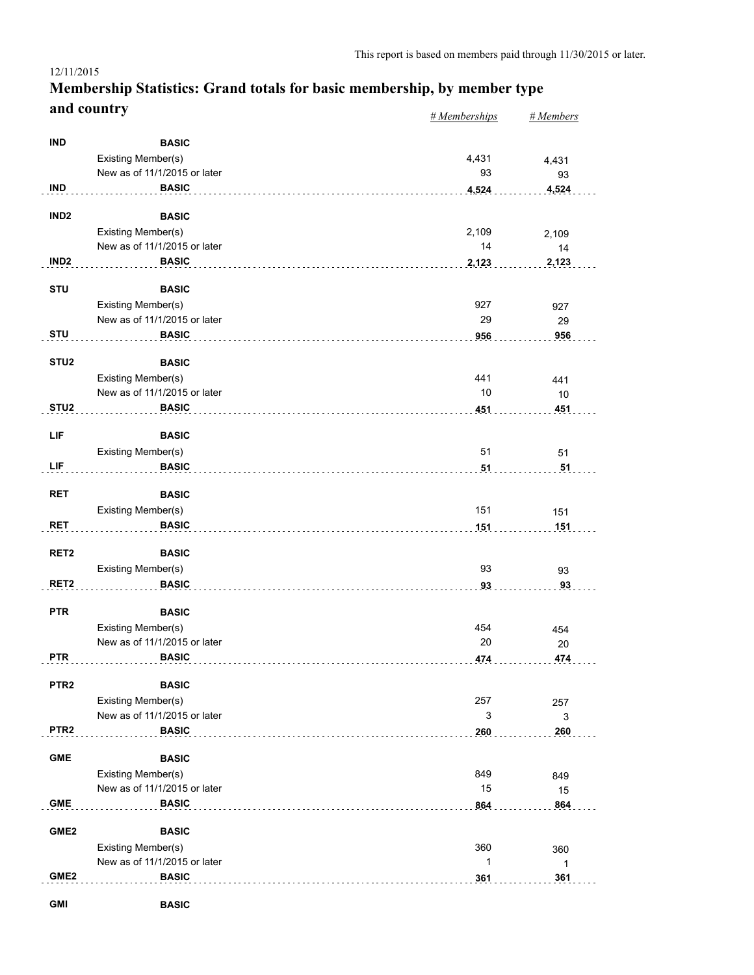#### *# Memberships # Members* **Membership Statistics: Grand totals for basic membership, by member type and country**

|                  |                                    | $n$ <i>includer ships</i> | <b></b>  |
|------------------|------------------------------------|---------------------------|----------|
| <b>IND</b>       | <b>BASIC</b>                       |                           |          |
|                  | Existing Member(s)                 | 4,431                     | 4,431    |
|                  | New as of 11/1/2015 or later       | 93                        | 93       |
| <b>IND</b>       | <b>BASIC</b>                       | 4,524                     | 4,524    |
|                  |                                    |                           |          |
| IND <sub>2</sub> | <b>BASIC</b>                       |                           |          |
|                  | Existing Member(s)                 | 2,109                     | 2,109    |
|                  | New as of 11/1/2015 or later       | 14                        | 14       |
| IND <sub>2</sub> | <b>BASIC</b>                       | 2,123                     | 2,123    |
| <b>STU</b>       | <b>BASIC</b>                       |                           |          |
|                  | Existing Member(s)                 | 927                       | 927      |
|                  | New as of 11/1/2015 or later       | 29                        | 29       |
| <b>STU</b>       | <b>BASIC</b>                       | 956                       | 956      |
|                  |                                    |                           |          |
| STU <sub>2</sub> | <b>BASIC</b>                       |                           |          |
|                  | Existing Member(s)                 | 441                       | 441      |
|                  | New as of 11/1/2015 or later       | 10                        | 10       |
| STU <sub>2</sub> | <b>BASIC</b>                       | 451                       | 451      |
| LIF              | <b>BASIC</b>                       |                           |          |
|                  |                                    | 51                        |          |
| LIF              | Existing Member(s)<br><b>BASIC</b> |                           | 51<br>51 |
|                  |                                    | 51                        |          |
| <b>RET</b>       | <b>BASIC</b>                       |                           |          |
|                  | Existing Member(s)                 | 151                       | 151      |
| <b>RET</b>       | <b>BASIC</b>                       | 151                       | 151      |
|                  |                                    |                           |          |
| RET <sub>2</sub> | <b>BASIC</b>                       |                           |          |
|                  | Existing Member(s)                 | 93                        | 93       |
| RET <sub>2</sub> | <b>BASIC</b>                       | 93                        | 93       |
|                  |                                    |                           |          |
| <b>PTR</b>       | <b>BASIC</b>                       |                           |          |
|                  | Existing Member(s)                 | 454                       | 454      |
|                  | New as of 11/1/2015 or later       | 20                        | 20       |
| <b>PTR</b>       | <b>BASIC</b>                       | 474                       | 474      |
| PTR <sub>2</sub> | <b>BASIC</b>                       |                           |          |
|                  | Existing Member(s)                 | 257                       | 257      |
|                  | New as of 11/1/2015 or later       | 3                         | 3        |
| PTR <sub>2</sub> | <b>BASIC</b>                       | 260                       | 260      |
|                  |                                    |                           |          |
| <b>GME</b>       | <b>BASIC</b>                       |                           |          |
|                  | Existing Member(s)                 | 849                       | 849      |
|                  | New as of 11/1/2015 or later       | 15                        | 15       |
| <b>GME</b>       | <b>BASIC</b>                       | 864                       | 864      |
| GME <sub>2</sub> | <b>BASIC</b>                       |                           |          |
|                  | Existing Member(s)                 | 360                       |          |
|                  | New as of 11/1/2015 or later       | 1                         | 360      |
| GME <sub>2</sub> | <b>BASIC</b>                       | 361                       | 1<br>361 |
|                  |                                    |                           |          |
| <b>GMI</b>       | <b>BASIC</b>                       |                           |          |

12/11/2015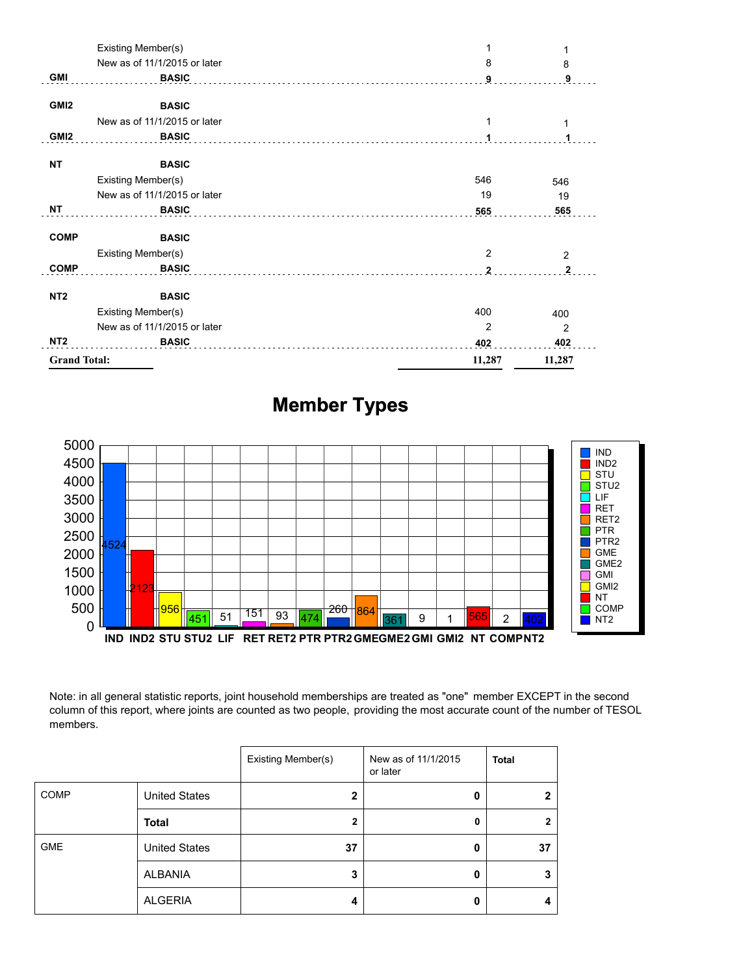|                     | Existing Member(s)           |              | 1              |
|---------------------|------------------------------|--------------|----------------|
|                     | New as of 11/1/2015 or later | 8            | 8              |
| <b>GMI</b>          | <b>BASIC</b>                 | 9            | 9              |
| GMI <sub>2</sub>    | <b>BASIC</b>                 |              |                |
|                     | New as of 11/1/2015 or later |              | 1              |
| GMI <sub>2</sub>    | <b>BASIC</b>                 |              |                |
| <b>NT</b>           | <b>BASIC</b>                 |              |                |
|                     | Existing Member(s)           | 546          | 546            |
|                     | New as of 11/1/2015 or later | 19           | 19             |
| ΝT                  | <b>BASIC</b>                 | 565          | 565            |
| <b>COMP</b>         | <b>BASIC</b>                 |              |                |
|                     | Existing Member(s)           | 2            | $\overline{2}$ |
| <b>COMP</b>         | <b>BASIC</b>                 | $\mathbf{2}$ | $\overline{2}$ |
| NT <sub>2</sub>     | <b>BASIC</b>                 |              |                |
|                     | Existing Member(s)           | 400          | 400            |
|                     | New as of 11/1/2015 or later | 2            | $\overline{2}$ |
| NT <sub>2</sub>     | <b>BASIC</b>                 | 402          | 402            |
| <b>Grand Total:</b> |                              | 11,287       | 11,287         |



# **Member Types**

Note: in all general statistic reports, joint household memberships are treated as "one" member EXCEPT in the second column of this report, where joints are counted as two people, providing the most accurate count of the number of TESOL members.

|             |                      | Existing Member(s) | New as of 11/1/2015<br>or later | <b>Total</b>   |
|-------------|----------------------|--------------------|---------------------------------|----------------|
| <b>COMP</b> | <b>United States</b> | $\mathbf{2}$       | Ω                               | $\mathbf{2}$   |
|             | <b>Total</b>         | $\mathbf{2}$       | 0                               | $\overline{2}$ |
| <b>GME</b>  | <b>United States</b> | 37                 | 0                               | 37             |
|             | ALBANIA              | 3                  | Ω                               | 3              |
|             | <b>ALGERIA</b>       | 4                  | 0                               | 4              |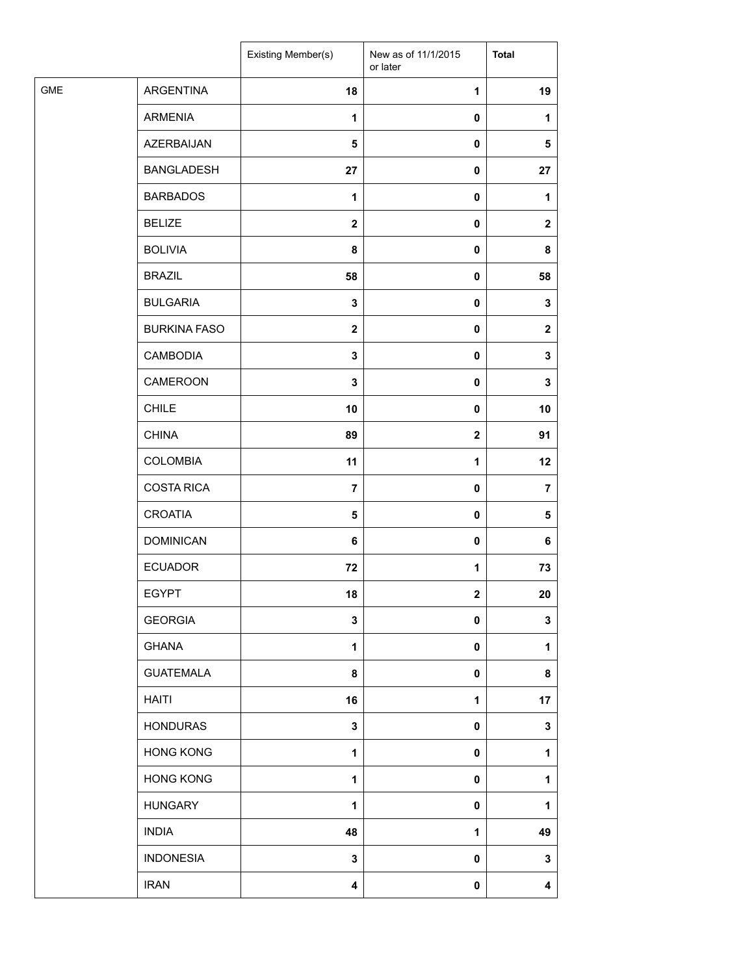|            |                     | Existing Member(s) | New as of 11/1/2015<br>or later | <b>Total</b>   |
|------------|---------------------|--------------------|---------------------------------|----------------|
| <b>GME</b> | <b>ARGENTINA</b>    | 18                 | 1                               | 19             |
|            | <b>ARMENIA</b>      | $\mathbf{1}$       | 0                               | $\mathbf{1}$   |
|            | AZERBAIJAN          | 5                  | 0                               | 5              |
|            | <b>BANGLADESH</b>   | 27                 | 0                               | 27             |
|            | <b>BARBADOS</b>     | $\mathbf{1}$       | 0                               | 1              |
|            | <b>BELIZE</b>       | $\mathbf{2}$       | 0                               | $\mathbf{2}$   |
|            | <b>BOLIVIA</b>      | 8                  | 0                               | 8              |
|            | <b>BRAZIL</b>       | 58                 | 0                               | 58             |
|            | <b>BULGARIA</b>     | $\mathbf 3$        | 0                               | 3              |
|            | <b>BURKINA FASO</b> | $\mathbf{2}$       | 0                               | $\mathbf 2$    |
|            | <b>CAMBODIA</b>     | $\mathbf 3$        | 0                               | 3              |
|            | CAMEROON            | $\mathbf 3$        | 0                               | 3              |
|            | <b>CHILE</b>        | 10                 | $\pmb{0}$                       | 10             |
|            | <b>CHINA</b>        | 89                 | $\mathbf 2$                     | 91             |
|            | <b>COLOMBIA</b>     | 11                 | 1                               | 12             |
|            | <b>COSTA RICA</b>   | $\overline{7}$     | 0                               | $\overline{7}$ |
|            | <b>CROATIA</b>      | 5                  | 0                               | 5              |
|            | <b>DOMINICAN</b>    | 6                  | $\pmb{0}$                       | 6              |
|            | <b>ECUADOR</b>      | 72                 | 1                               | 73             |
|            | <b>EGYPT</b>        | 18                 | $\mathbf 2$                     | 20             |
|            | <b>GEORGIA</b>      | $\mathbf 3$        | 0                               | 3              |
|            | <b>GHANA</b>        | $\mathbf 1$        | 0                               | 1              |
|            | <b>GUATEMALA</b>    | 8                  | 0                               | 8              |
|            | <b>HAITI</b>        | 16                 | 1                               | 17             |
|            | <b>HONDURAS</b>     | $\mathbf 3$        | 0                               | 3              |
|            | <b>HONG KONG</b>    | 1                  | 0                               | 1              |
|            | <b>HONG KONG</b>    | $\mathbf{1}$       | 0                               | 1              |
|            | <b>HUNGARY</b>      | $\mathbf{1}$       | 0                               | 1              |
|            | <b>INDIA</b>        | 48                 | 1                               | 49             |
|            | <b>INDONESIA</b>    | $\mathbf 3$        | 0                               | 3              |
|            | <b>IRAN</b>         | 4                  | 0                               | 4              |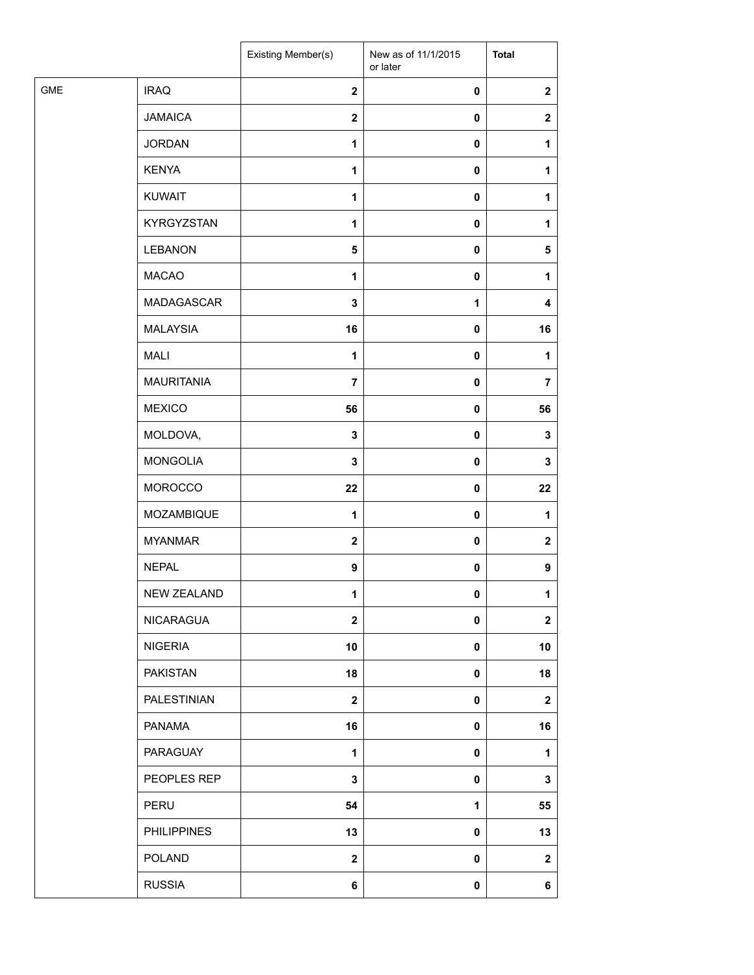| <b>GME</b><br><b>IRAQ</b><br>$\mathbf{2}$<br>$\pmb{0}$<br><b>JAMAICA</b><br>$\boldsymbol{2}$<br>$\pmb{0}$<br><b>JORDAN</b><br>1<br>$\pmb{0}$<br>1<br><b>KENYA</b><br>1<br>$\pmb{0}$<br>1<br><b>KUWAIT</b><br>1<br>0<br>1<br>KYRGYZSTAN<br>1<br>$\pmb{0}$<br>1<br><b>LEBANON</b><br>$\sqrt{5}$<br>$\pmb{0}$<br><b>MACAO</b><br>1<br>$\pmb{0}$<br>1<br>MADAGASCAR<br>3<br>1<br><b>MALAYSIA</b><br>16<br>$\pmb{0}$<br><b>MALI</b><br>1<br>$\pmb{0}$<br>1<br><b>MAURITANIA</b><br>$\overline{7}$<br>$\pmb{0}$<br><b>MEXICO</b><br>56<br>$\pmb{0}$<br>MOLDOVA,<br>3<br>$\pmb{0}$<br><b>MONGOLIA</b><br>3<br>$\pmb{0}$<br>MOROCCO<br>22<br>$\pmb{0}$<br>MOZAMBIQUE<br>$\mathbf{1}$<br>$\pmb{0}$<br>1<br><b>MYANMAR</b><br>$\mathbf{2}$<br>$\pmb{0}$<br><b>NEPAL</b><br>$\boldsymbol{9}$<br>$\pmb{0}$<br>NEW ZEALAND<br>1<br>$\mathbf 0$<br>1<br><b>NICARAGUA</b><br>$\mathbf 2$<br>$\pmb{0}$<br><b>NIGERIA</b><br>10<br>$\pmb{0}$<br><b>PAKISTAN</b><br>18<br>$\pmb{0}$<br>PALESTINIAN<br>$\mathbf{2}$<br>$\pmb{0}$<br><b>PANAMA</b><br>16<br>$\pmb{0}$<br>PARAGUAY<br>1<br>1<br>0<br>PEOPLES REP<br>$\mathbf 3$<br>$\pmb{0}$<br>PERU<br>54<br>1<br><b>PHILIPPINES</b><br>13<br>$\pmb{0}$<br><b>POLAND</b><br>$\boldsymbol{2}$<br>$\pmb{0}$<br><b>RUSSIA</b><br>6<br>$\pmb{0}$ |  | Existing Member(s) | New as of 11/1/2015<br>or later | <b>Total</b>     |
|--------------------------------------------------------------------------------------------------------------------------------------------------------------------------------------------------------------------------------------------------------------------------------------------------------------------------------------------------------------------------------------------------------------------------------------------------------------------------------------------------------------------------------------------------------------------------------------------------------------------------------------------------------------------------------------------------------------------------------------------------------------------------------------------------------------------------------------------------------------------------------------------------------------------------------------------------------------------------------------------------------------------------------------------------------------------------------------------------------------------------------------------------------------------------------------------------------------------------------------------------------------------------|--|--------------------|---------------------------------|------------------|
|                                                                                                                                                                                                                                                                                                                                                                                                                                                                                                                                                                                                                                                                                                                                                                                                                                                                                                                                                                                                                                                                                                                                                                                                                                                                          |  |                    |                                 | $\mathbf{2}$     |
|                                                                                                                                                                                                                                                                                                                                                                                                                                                                                                                                                                                                                                                                                                                                                                                                                                                                                                                                                                                                                                                                                                                                                                                                                                                                          |  |                    |                                 | $\mathbf{2}$     |
|                                                                                                                                                                                                                                                                                                                                                                                                                                                                                                                                                                                                                                                                                                                                                                                                                                                                                                                                                                                                                                                                                                                                                                                                                                                                          |  |                    |                                 |                  |
|                                                                                                                                                                                                                                                                                                                                                                                                                                                                                                                                                                                                                                                                                                                                                                                                                                                                                                                                                                                                                                                                                                                                                                                                                                                                          |  |                    |                                 |                  |
|                                                                                                                                                                                                                                                                                                                                                                                                                                                                                                                                                                                                                                                                                                                                                                                                                                                                                                                                                                                                                                                                                                                                                                                                                                                                          |  |                    |                                 |                  |
|                                                                                                                                                                                                                                                                                                                                                                                                                                                                                                                                                                                                                                                                                                                                                                                                                                                                                                                                                                                                                                                                                                                                                                                                                                                                          |  |                    |                                 |                  |
|                                                                                                                                                                                                                                                                                                                                                                                                                                                                                                                                                                                                                                                                                                                                                                                                                                                                                                                                                                                                                                                                                                                                                                                                                                                                          |  |                    |                                 | $\sqrt{5}$       |
|                                                                                                                                                                                                                                                                                                                                                                                                                                                                                                                                                                                                                                                                                                                                                                                                                                                                                                                                                                                                                                                                                                                                                                                                                                                                          |  |                    |                                 |                  |
|                                                                                                                                                                                                                                                                                                                                                                                                                                                                                                                                                                                                                                                                                                                                                                                                                                                                                                                                                                                                                                                                                                                                                                                                                                                                          |  |                    |                                 | 4                |
|                                                                                                                                                                                                                                                                                                                                                                                                                                                                                                                                                                                                                                                                                                                                                                                                                                                                                                                                                                                                                                                                                                                                                                                                                                                                          |  |                    |                                 | 16               |
|                                                                                                                                                                                                                                                                                                                                                                                                                                                                                                                                                                                                                                                                                                                                                                                                                                                                                                                                                                                                                                                                                                                                                                                                                                                                          |  |                    |                                 |                  |
|                                                                                                                                                                                                                                                                                                                                                                                                                                                                                                                                                                                                                                                                                                                                                                                                                                                                                                                                                                                                                                                                                                                                                                                                                                                                          |  |                    |                                 | $\overline{7}$   |
|                                                                                                                                                                                                                                                                                                                                                                                                                                                                                                                                                                                                                                                                                                                                                                                                                                                                                                                                                                                                                                                                                                                                                                                                                                                                          |  |                    |                                 | 56               |
|                                                                                                                                                                                                                                                                                                                                                                                                                                                                                                                                                                                                                                                                                                                                                                                                                                                                                                                                                                                                                                                                                                                                                                                                                                                                          |  |                    |                                 | 3                |
|                                                                                                                                                                                                                                                                                                                                                                                                                                                                                                                                                                                                                                                                                                                                                                                                                                                                                                                                                                                                                                                                                                                                                                                                                                                                          |  |                    |                                 | 3                |
|                                                                                                                                                                                                                                                                                                                                                                                                                                                                                                                                                                                                                                                                                                                                                                                                                                                                                                                                                                                                                                                                                                                                                                                                                                                                          |  |                    |                                 | 22               |
|                                                                                                                                                                                                                                                                                                                                                                                                                                                                                                                                                                                                                                                                                                                                                                                                                                                                                                                                                                                                                                                                                                                                                                                                                                                                          |  |                    |                                 |                  |
|                                                                                                                                                                                                                                                                                                                                                                                                                                                                                                                                                                                                                                                                                                                                                                                                                                                                                                                                                                                                                                                                                                                                                                                                                                                                          |  |                    |                                 | $\boldsymbol{2}$ |
|                                                                                                                                                                                                                                                                                                                                                                                                                                                                                                                                                                                                                                                                                                                                                                                                                                                                                                                                                                                                                                                                                                                                                                                                                                                                          |  |                    |                                 | $\boldsymbol{9}$ |
|                                                                                                                                                                                                                                                                                                                                                                                                                                                                                                                                                                                                                                                                                                                                                                                                                                                                                                                                                                                                                                                                                                                                                                                                                                                                          |  |                    |                                 |                  |
|                                                                                                                                                                                                                                                                                                                                                                                                                                                                                                                                                                                                                                                                                                                                                                                                                                                                                                                                                                                                                                                                                                                                                                                                                                                                          |  |                    |                                 | $\mathbf{2}$     |
|                                                                                                                                                                                                                                                                                                                                                                                                                                                                                                                                                                                                                                                                                                                                                                                                                                                                                                                                                                                                                                                                                                                                                                                                                                                                          |  |                    |                                 | 10               |
|                                                                                                                                                                                                                                                                                                                                                                                                                                                                                                                                                                                                                                                                                                                                                                                                                                                                                                                                                                                                                                                                                                                                                                                                                                                                          |  |                    |                                 | 18               |
|                                                                                                                                                                                                                                                                                                                                                                                                                                                                                                                                                                                                                                                                                                                                                                                                                                                                                                                                                                                                                                                                                                                                                                                                                                                                          |  |                    |                                 | $\mathbf{2}$     |
|                                                                                                                                                                                                                                                                                                                                                                                                                                                                                                                                                                                                                                                                                                                                                                                                                                                                                                                                                                                                                                                                                                                                                                                                                                                                          |  |                    |                                 | 16               |
|                                                                                                                                                                                                                                                                                                                                                                                                                                                                                                                                                                                                                                                                                                                                                                                                                                                                                                                                                                                                                                                                                                                                                                                                                                                                          |  |                    |                                 |                  |
|                                                                                                                                                                                                                                                                                                                                                                                                                                                                                                                                                                                                                                                                                                                                                                                                                                                                                                                                                                                                                                                                                                                                                                                                                                                                          |  |                    |                                 | 3                |
|                                                                                                                                                                                                                                                                                                                                                                                                                                                                                                                                                                                                                                                                                                                                                                                                                                                                                                                                                                                                                                                                                                                                                                                                                                                                          |  |                    |                                 | 55               |
|                                                                                                                                                                                                                                                                                                                                                                                                                                                                                                                                                                                                                                                                                                                                                                                                                                                                                                                                                                                                                                                                                                                                                                                                                                                                          |  |                    |                                 | 13               |
|                                                                                                                                                                                                                                                                                                                                                                                                                                                                                                                                                                                                                                                                                                                                                                                                                                                                                                                                                                                                                                                                                                                                                                                                                                                                          |  |                    |                                 | $\mathbf{2}$     |
|                                                                                                                                                                                                                                                                                                                                                                                                                                                                                                                                                                                                                                                                                                                                                                                                                                                                                                                                                                                                                                                                                                                                                                                                                                                                          |  |                    |                                 | 6                |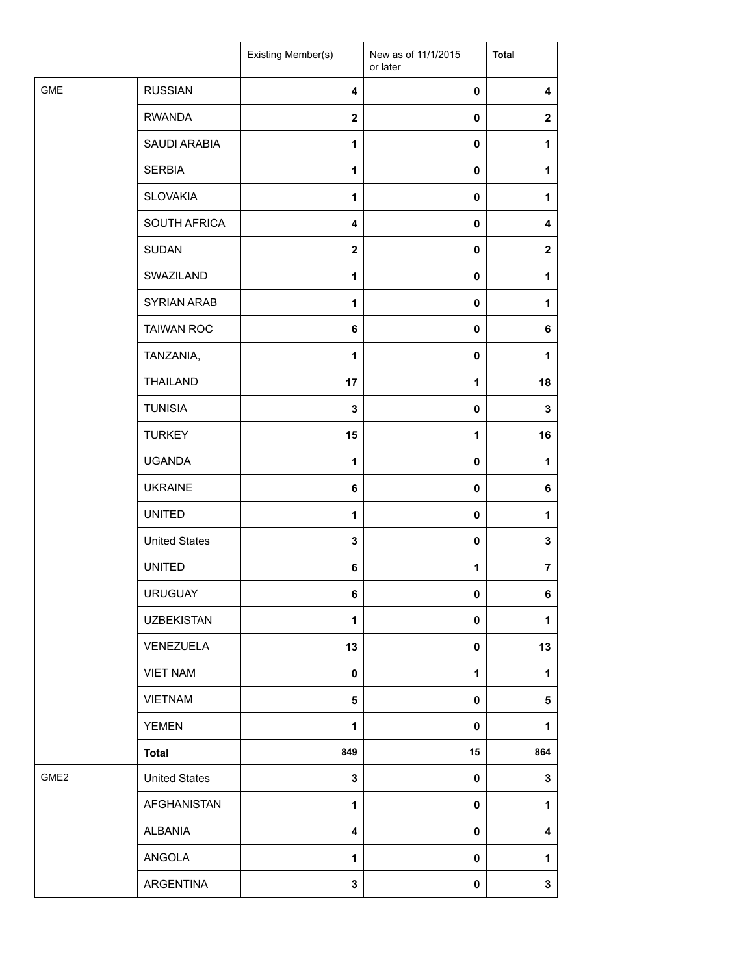|                  |                      | Existing Member(s)      | New as of 11/1/2015<br>or later | <b>Total</b>     |
|------------------|----------------------|-------------------------|---------------------------------|------------------|
| <b>GME</b>       | <b>RUSSIAN</b>       | $\overline{\mathbf{4}}$ | 0                               | 4                |
|                  | <b>RWANDA</b>        | $\boldsymbol{2}$        | 0                               | $\mathbf 2$      |
|                  | SAUDI ARABIA         | $\mathbf{1}$            | 0                               | 1                |
|                  | <b>SERBIA</b>        | 1                       | 0                               | 1                |
|                  | <b>SLOVAKIA</b>      | 1                       | $\mathbf 0$                     | 1                |
|                  | SOUTH AFRICA         | 4                       | $\mathbf 0$                     | 4                |
|                  | <b>SUDAN</b>         | $\boldsymbol{2}$        | 0                               | $\boldsymbol{2}$ |
|                  | SWAZILAND            | 1                       | $\mathbf 0$                     | 1                |
|                  | SYRIAN ARAB          | 1                       | 0                               | 1                |
|                  | <b>TAIWAN ROC</b>    | 6                       | 0                               | 6                |
|                  | TANZANIA,            | 1                       | $\mathbf 0$                     | 1                |
|                  | <b>THAILAND</b>      | 17                      | 1                               | 18               |
|                  | <b>TUNISIA</b>       | $\mathbf 3$             | $\mathbf 0$                     | 3                |
|                  | <b>TURKEY</b>        | 15                      | 1                               | 16               |
|                  | <b>UGANDA</b>        | $\mathbf{1}$            | 0                               | 1                |
|                  | <b>UKRAINE</b>       | 6                       | 0                               | 6                |
|                  | <b>UNITED</b>        | 1                       | $\pmb{0}$                       | $\mathbf{1}$     |
|                  | <b>United States</b> | 3                       | 0                               | $\mathbf 3$      |
|                  | <b>UNITED</b>        | 6                       | 1                               | $\overline{7}$   |
|                  | <b>URUGUAY</b>       | 6                       | 0                               | 6                |
|                  | <b>UZBEKISTAN</b>    | 1                       | 0                               | 1                |
|                  | VENEZUELA            | 13                      | 0                               | 13               |
|                  | <b>VIET NAM</b>      | $\pmb{0}$               | 1                               | 1                |
|                  | <b>VIETNAM</b>       | 5                       | 0                               | 5                |
|                  | <b>YEMEN</b>         | 1                       | 0                               | 1                |
|                  | <b>Total</b>         | 849                     | 15                              | 864              |
| GME <sub>2</sub> | <b>United States</b> | $\mathbf{3}$            | $\mathbf 0$                     | $\mathbf 3$      |
|                  | AFGHANISTAN          | 1                       | 0                               | 1                |
|                  | ALBANIA              | 4                       | 0                               | 4                |
|                  | ANGOLA               | 1                       | 0                               | $\mathbf{1}$     |
|                  | ARGENTINA            | 3                       | $\pmb{0}$                       | $\mathbf{3}$     |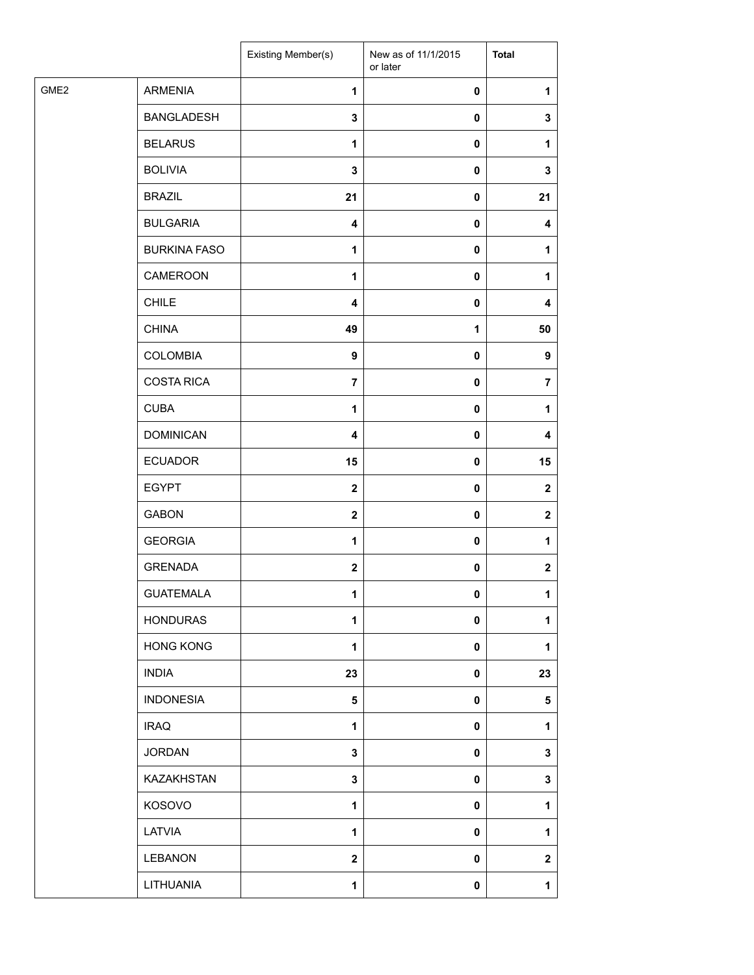| <b>ARMENIA</b><br>$\mathbf{1}$<br>$\pmb{0}$<br><b>BANGLADESH</b><br>$\mathbf 3$<br>0<br><b>BELARUS</b><br>1<br>0<br><b>BOLIVIA</b><br>$\mathbf 3$<br>0<br><b>BRAZIL</b><br>21<br>0<br><b>BULGARIA</b><br>$\overline{\mathbf{4}}$<br>0<br><b>BURKINA FASO</b><br>$\mathbf{1}$<br>0<br>CAMEROON<br>$\pmb{0}$<br>1<br><b>CHILE</b><br>$\overline{\mathbf{4}}$<br>0<br><b>CHINA</b><br>49<br>1<br><b>COLOMBIA</b><br>9<br>0<br><b>COSTA RICA</b><br>$\overline{7}$<br>0<br><b>CUBA</b><br>$\pmb{0}$<br>1<br><b>DOMINICAN</b><br>4<br>0<br><b>ECUADOR</b><br>15<br>0<br><b>EGYPT</b><br>$\overline{\mathbf{2}}$<br>0<br><b>GABON</b><br>$\mathbf{2}$<br>0<br><b>GEORGIA</b><br>1<br>0<br><b>GRENADA</b><br>$\boldsymbol{2}$<br>0<br><b>GUATEMALA</b><br>1<br>0<br><b>HONDURAS</b><br>1<br>0<br><b>HONG KONG</b><br>$\mathbf{1}$<br>0<br><b>INDIA</b><br>23<br>0<br><b>INDONESIA</b><br>$\overline{\mathbf{5}}$<br>0<br><b>IRAQ</b><br>1<br>0<br><b>JORDAN</b><br>$\mathbf 3$<br>0<br>KAZAKHSTAN<br>$\mathbf 3$<br>0<br>KOSOVO<br>$\mathbf{1}$<br>0<br>LATVIA<br>1<br>0<br><b>LEBANON</b><br>$\boldsymbol{2}$<br>0<br>LITHUANIA<br>$\mathbf{1}$<br>$\pmb{0}$ |                  | Existing Member(s) | New as of 11/1/2015<br>or later | <b>Total</b>   |
|--------------------------------------------------------------------------------------------------------------------------------------------------------------------------------------------------------------------------------------------------------------------------------------------------------------------------------------------------------------------------------------------------------------------------------------------------------------------------------------------------------------------------------------------------------------------------------------------------------------------------------------------------------------------------------------------------------------------------------------------------------------------------------------------------------------------------------------------------------------------------------------------------------------------------------------------------------------------------------------------------------------------------------------------------------------------------------------------------------------------------------------------------------|------------------|--------------------|---------------------------------|----------------|
|                                                                                                                                                                                                                                                                                                                                                                                                                                                                                                                                                                                                                                                                                                                                                                                                                                                                                                                                                                                                                                                                                                                                                        | GME <sub>2</sub> |                    |                                 | 1              |
|                                                                                                                                                                                                                                                                                                                                                                                                                                                                                                                                                                                                                                                                                                                                                                                                                                                                                                                                                                                                                                                                                                                                                        |                  |                    |                                 | 3              |
|                                                                                                                                                                                                                                                                                                                                                                                                                                                                                                                                                                                                                                                                                                                                                                                                                                                                                                                                                                                                                                                                                                                                                        |                  |                    |                                 | 1              |
|                                                                                                                                                                                                                                                                                                                                                                                                                                                                                                                                                                                                                                                                                                                                                                                                                                                                                                                                                                                                                                                                                                                                                        |                  |                    |                                 | 3              |
|                                                                                                                                                                                                                                                                                                                                                                                                                                                                                                                                                                                                                                                                                                                                                                                                                                                                                                                                                                                                                                                                                                                                                        |                  |                    |                                 | 21             |
|                                                                                                                                                                                                                                                                                                                                                                                                                                                                                                                                                                                                                                                                                                                                                                                                                                                                                                                                                                                                                                                                                                                                                        |                  |                    |                                 | 4              |
|                                                                                                                                                                                                                                                                                                                                                                                                                                                                                                                                                                                                                                                                                                                                                                                                                                                                                                                                                                                                                                                                                                                                                        |                  |                    |                                 | 1              |
|                                                                                                                                                                                                                                                                                                                                                                                                                                                                                                                                                                                                                                                                                                                                                                                                                                                                                                                                                                                                                                                                                                                                                        |                  |                    |                                 | 1              |
|                                                                                                                                                                                                                                                                                                                                                                                                                                                                                                                                                                                                                                                                                                                                                                                                                                                                                                                                                                                                                                                                                                                                                        |                  |                    |                                 | 4              |
|                                                                                                                                                                                                                                                                                                                                                                                                                                                                                                                                                                                                                                                                                                                                                                                                                                                                                                                                                                                                                                                                                                                                                        |                  |                    |                                 | 50             |
|                                                                                                                                                                                                                                                                                                                                                                                                                                                                                                                                                                                                                                                                                                                                                                                                                                                                                                                                                                                                                                                                                                                                                        |                  |                    |                                 | 9              |
|                                                                                                                                                                                                                                                                                                                                                                                                                                                                                                                                                                                                                                                                                                                                                                                                                                                                                                                                                                                                                                                                                                                                                        |                  |                    |                                 | $\overline{7}$ |
|                                                                                                                                                                                                                                                                                                                                                                                                                                                                                                                                                                                                                                                                                                                                                                                                                                                                                                                                                                                                                                                                                                                                                        |                  |                    |                                 | 1              |
|                                                                                                                                                                                                                                                                                                                                                                                                                                                                                                                                                                                                                                                                                                                                                                                                                                                                                                                                                                                                                                                                                                                                                        |                  |                    |                                 | 4              |
|                                                                                                                                                                                                                                                                                                                                                                                                                                                                                                                                                                                                                                                                                                                                                                                                                                                                                                                                                                                                                                                                                                                                                        |                  |                    |                                 | 15             |
|                                                                                                                                                                                                                                                                                                                                                                                                                                                                                                                                                                                                                                                                                                                                                                                                                                                                                                                                                                                                                                                                                                                                                        |                  |                    |                                 | $\mathbf{2}$   |
|                                                                                                                                                                                                                                                                                                                                                                                                                                                                                                                                                                                                                                                                                                                                                                                                                                                                                                                                                                                                                                                                                                                                                        |                  |                    |                                 | $\mathbf 2$    |
|                                                                                                                                                                                                                                                                                                                                                                                                                                                                                                                                                                                                                                                                                                                                                                                                                                                                                                                                                                                                                                                                                                                                                        |                  |                    |                                 | 1              |
|                                                                                                                                                                                                                                                                                                                                                                                                                                                                                                                                                                                                                                                                                                                                                                                                                                                                                                                                                                                                                                                                                                                                                        |                  |                    |                                 | $\mathbf 2$    |
|                                                                                                                                                                                                                                                                                                                                                                                                                                                                                                                                                                                                                                                                                                                                                                                                                                                                                                                                                                                                                                                                                                                                                        |                  |                    |                                 | $\mathbf{1}$   |
|                                                                                                                                                                                                                                                                                                                                                                                                                                                                                                                                                                                                                                                                                                                                                                                                                                                                                                                                                                                                                                                                                                                                                        |                  |                    |                                 | 1              |
|                                                                                                                                                                                                                                                                                                                                                                                                                                                                                                                                                                                                                                                                                                                                                                                                                                                                                                                                                                                                                                                                                                                                                        |                  |                    |                                 | 1              |
|                                                                                                                                                                                                                                                                                                                                                                                                                                                                                                                                                                                                                                                                                                                                                                                                                                                                                                                                                                                                                                                                                                                                                        |                  |                    |                                 | 23             |
|                                                                                                                                                                                                                                                                                                                                                                                                                                                                                                                                                                                                                                                                                                                                                                                                                                                                                                                                                                                                                                                                                                                                                        |                  |                    |                                 | 5              |
|                                                                                                                                                                                                                                                                                                                                                                                                                                                                                                                                                                                                                                                                                                                                                                                                                                                                                                                                                                                                                                                                                                                                                        |                  |                    |                                 | 1              |
|                                                                                                                                                                                                                                                                                                                                                                                                                                                                                                                                                                                                                                                                                                                                                                                                                                                                                                                                                                                                                                                                                                                                                        |                  |                    |                                 | 3              |
|                                                                                                                                                                                                                                                                                                                                                                                                                                                                                                                                                                                                                                                                                                                                                                                                                                                                                                                                                                                                                                                                                                                                                        |                  |                    |                                 | 3              |
|                                                                                                                                                                                                                                                                                                                                                                                                                                                                                                                                                                                                                                                                                                                                                                                                                                                                                                                                                                                                                                                                                                                                                        |                  |                    |                                 | $\mathbf{1}$   |
|                                                                                                                                                                                                                                                                                                                                                                                                                                                                                                                                                                                                                                                                                                                                                                                                                                                                                                                                                                                                                                                                                                                                                        |                  |                    |                                 | 1              |
|                                                                                                                                                                                                                                                                                                                                                                                                                                                                                                                                                                                                                                                                                                                                                                                                                                                                                                                                                                                                                                                                                                                                                        |                  |                    |                                 | $\mathbf 2$    |
|                                                                                                                                                                                                                                                                                                                                                                                                                                                                                                                                                                                                                                                                                                                                                                                                                                                                                                                                                                                                                                                                                                                                                        |                  |                    |                                 | $\mathbf{1}$   |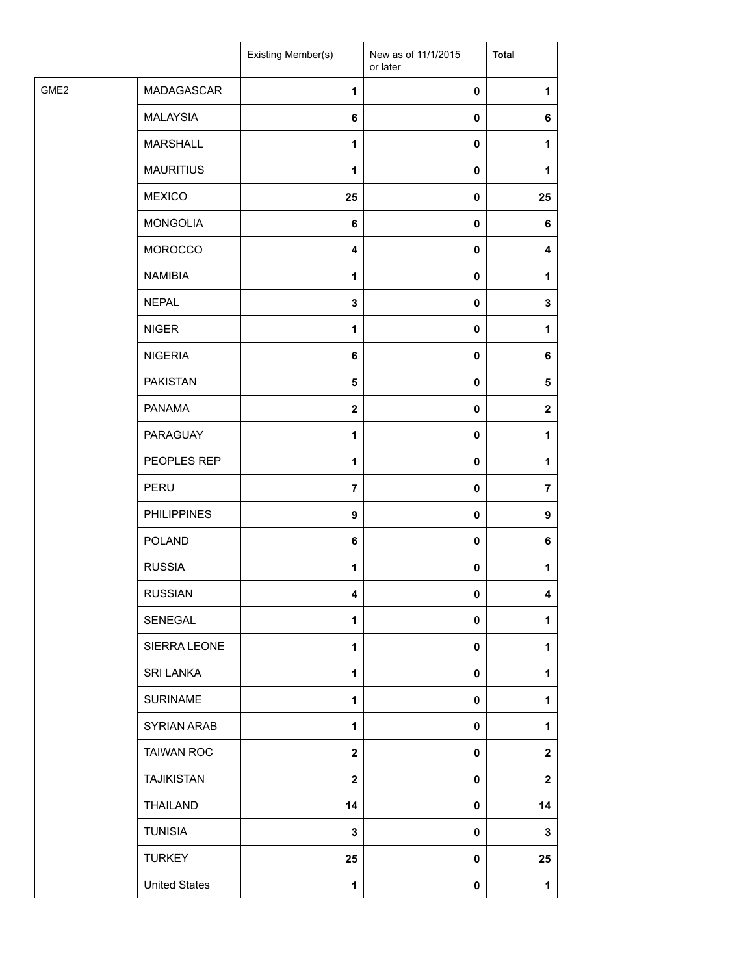| GME <sub>2</sub><br>MADAGASCAR<br>1<br>0<br><b>MALAYSIA</b><br>6<br>0<br><b>MARSHALL</b><br>1<br>0<br><b>MAURITIUS</b><br>$\mathbf{1}$<br>0<br><b>MEXICO</b><br>25<br>0<br><b>MONGOLIA</b><br>6<br>0<br><b>MOROCCO</b><br>$\overline{\mathbf{4}}$<br>0<br><b>NAMIBIA</b><br>0<br>1<br><b>NEPAL</b><br>3<br>0<br><b>NIGER</b><br>1<br>0 | <b>Total</b>            |
|----------------------------------------------------------------------------------------------------------------------------------------------------------------------------------------------------------------------------------------------------------------------------------------------------------------------------------------|-------------------------|
|                                                                                                                                                                                                                                                                                                                                        | 1                       |
|                                                                                                                                                                                                                                                                                                                                        | 6                       |
|                                                                                                                                                                                                                                                                                                                                        | 1                       |
|                                                                                                                                                                                                                                                                                                                                        | 1                       |
|                                                                                                                                                                                                                                                                                                                                        | 25                      |
|                                                                                                                                                                                                                                                                                                                                        | 6                       |
|                                                                                                                                                                                                                                                                                                                                        | $\overline{\mathbf{4}}$ |
|                                                                                                                                                                                                                                                                                                                                        | 1                       |
|                                                                                                                                                                                                                                                                                                                                        | 3                       |
|                                                                                                                                                                                                                                                                                                                                        | 1                       |
| <b>NIGERIA</b><br>0<br>6                                                                                                                                                                                                                                                                                                               | 6                       |
| <b>PAKISTAN</b><br>5<br>0                                                                                                                                                                                                                                                                                                              | 5                       |
| <b>PANAMA</b><br>$\overline{\mathbf{2}}$<br>0                                                                                                                                                                                                                                                                                          | $\mathbf{2}$            |
| PARAGUAY<br>1<br>0                                                                                                                                                                                                                                                                                                                     | 1                       |
| PEOPLES REP<br>1<br>0                                                                                                                                                                                                                                                                                                                  | 1                       |
| PERU<br>$\overline{\mathbf{r}}$<br>0                                                                                                                                                                                                                                                                                                   | $\overline{\mathbf{r}}$ |
| <b>PHILIPPINES</b><br>9<br>0                                                                                                                                                                                                                                                                                                           | 9                       |
| <b>POLAND</b><br>6<br>0                                                                                                                                                                                                                                                                                                                | 6                       |
| <b>RUSSIA</b><br>$\mathbf{1}$<br>0                                                                                                                                                                                                                                                                                                     | 1                       |
| <b>RUSSIAN</b><br>4<br>$\mathbf{0}$                                                                                                                                                                                                                                                                                                    | 4                       |
| SENEGAL<br>1<br>0                                                                                                                                                                                                                                                                                                                      | 1                       |
| SIERRA LEONE<br>$\mathbf{1}$<br>0                                                                                                                                                                                                                                                                                                      | 1                       |
| <b>SRI LANKA</b><br>$\mathbf{1}$<br>0                                                                                                                                                                                                                                                                                                  | 1                       |
| <b>SURINAME</b><br>$\mathbf{1}$<br>0                                                                                                                                                                                                                                                                                                   | 1                       |
| SYRIAN ARAB<br>1<br>0                                                                                                                                                                                                                                                                                                                  | 1                       |
| <b>TAIWAN ROC</b><br>$\mathbf{2}$<br>0                                                                                                                                                                                                                                                                                                 | $\mathbf{2}$            |
| <b>TAJIKISTAN</b><br>$\mathbf{2}$<br>0                                                                                                                                                                                                                                                                                                 | $\mathbf 2$             |
| THAILAND<br>14<br>0                                                                                                                                                                                                                                                                                                                    | 14                      |
| <b>TUNISIA</b><br>3<br>0                                                                                                                                                                                                                                                                                                               | 3                       |
| <b>TURKEY</b><br>25<br>0                                                                                                                                                                                                                                                                                                               | 25                      |
| <b>United States</b><br>$\mathbf{1}$<br>0                                                                                                                                                                                                                                                                                              | $\mathbf{1}$            |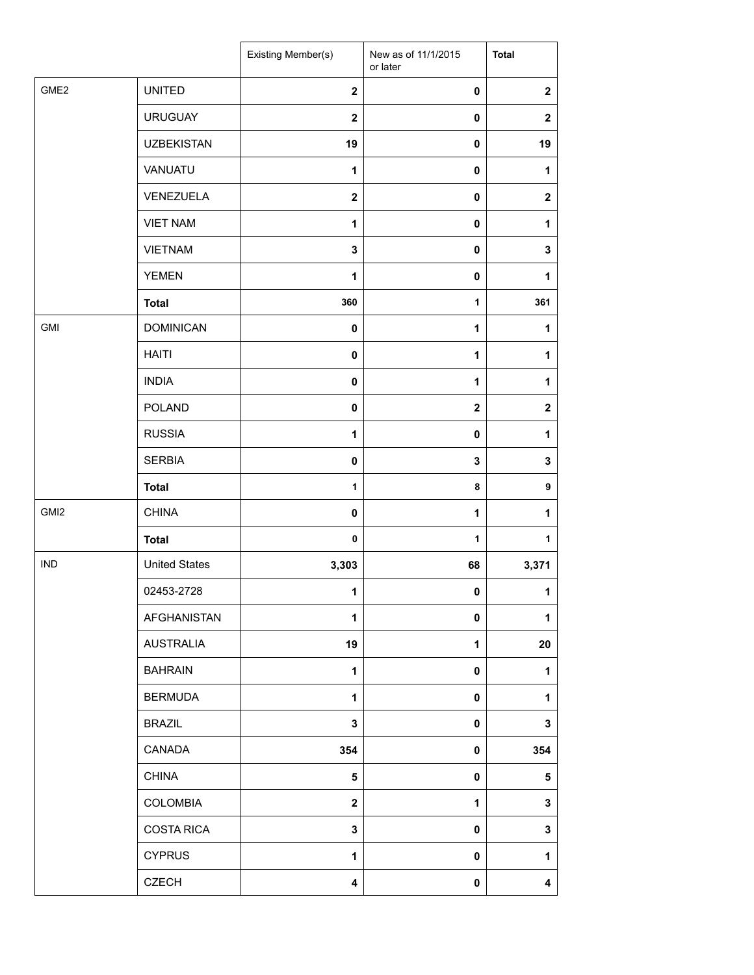|                  |                      | Existing Member(s)      | New as of 11/1/2015<br>or later | <b>Total</b>     |
|------------------|----------------------|-------------------------|---------------------------------|------------------|
| GME <sub>2</sub> | <b>UNITED</b>        | $\mathbf 2$             | $\pmb{0}$                       | $\boldsymbol{2}$ |
|                  | <b>URUGUAY</b>       | $\mathbf{2}$            | 0                               | $\boldsymbol{2}$ |
|                  | <b>UZBEKISTAN</b>    | 19                      | 0                               | 19               |
|                  | VANUATU              | 1                       | 0                               | 1                |
|                  | VENEZUELA            | $\mathbf{2}$            | 0                               | $\mathbf 2$      |
|                  | <b>VIET NAM</b>      | 1                       | 0                               | 1                |
|                  | <b>VIETNAM</b>       | $\mathbf 3$             | 0                               | $\mathbf 3$      |
|                  | <b>YEMEN</b>         | 1                       | 0                               | 1                |
|                  | <b>Total</b>         | 360                     | $\mathbf{1}$                    | 361              |
| GMI              | <b>DOMINICAN</b>     | $\pmb{0}$               | 1                               | $\mathbf{1}$     |
|                  | <b>HAITI</b>         | $\mathbf 0$             | 1                               | 1                |
|                  | <b>INDIA</b>         | $\pmb{0}$               | 1                               | 1                |
|                  | <b>POLAND</b>        | $\pmb{0}$               | $\mathbf 2$                     | $\boldsymbol{2}$ |
|                  | <b>RUSSIA</b>        | 1                       | $\pmb{0}$                       | 1                |
|                  | <b>SERBIA</b>        | 0                       | 3                               | $\mathbf 3$      |
|                  | <b>Total</b>         | $\mathbf{1}$            | 8                               | 9                |
| GMI <sub>2</sub> | <b>CHINA</b>         | $\pmb{0}$               | 1                               | 1                |
|                  | <b>Total</b>         | $\pmb{0}$               | $\mathbf{1}$                    | 1                |
| <b>IND</b>       | <b>United States</b> | 3,303                   | 68                              | 3,371            |
|                  | 02453-2728           | 1                       | 0                               | 1                |
|                  | AFGHANISTAN          | $\mathbf{1}$            | 0                               | 1                |
|                  | <b>AUSTRALIA</b>     | 19                      | 1                               | 20               |
|                  | <b>BAHRAIN</b>       | $\mathbf{1}$            | 0                               | 1                |
|                  | <b>BERMUDA</b>       | $\mathbf{1}$            | 0                               | 1                |
|                  | <b>BRAZIL</b>        | 3                       | 0                               | $\mathbf 3$      |
|                  | CANADA               | 354                     | 0                               | 354              |
|                  | <b>CHINA</b>         | 5                       | 0                               | 5                |
|                  | <b>COLOMBIA</b>      | $\overline{\mathbf{2}}$ | 1                               | $\mathbf 3$      |
|                  | <b>COSTA RICA</b>    | $\mathbf 3$             | $\pmb{0}$                       | $\mathbf 3$      |
|                  | <b>CYPRUS</b>        | $\mathbf{1}$            | 0                               | 1                |
|                  | <b>CZECH</b>         | 4                       | 0                               | 4                |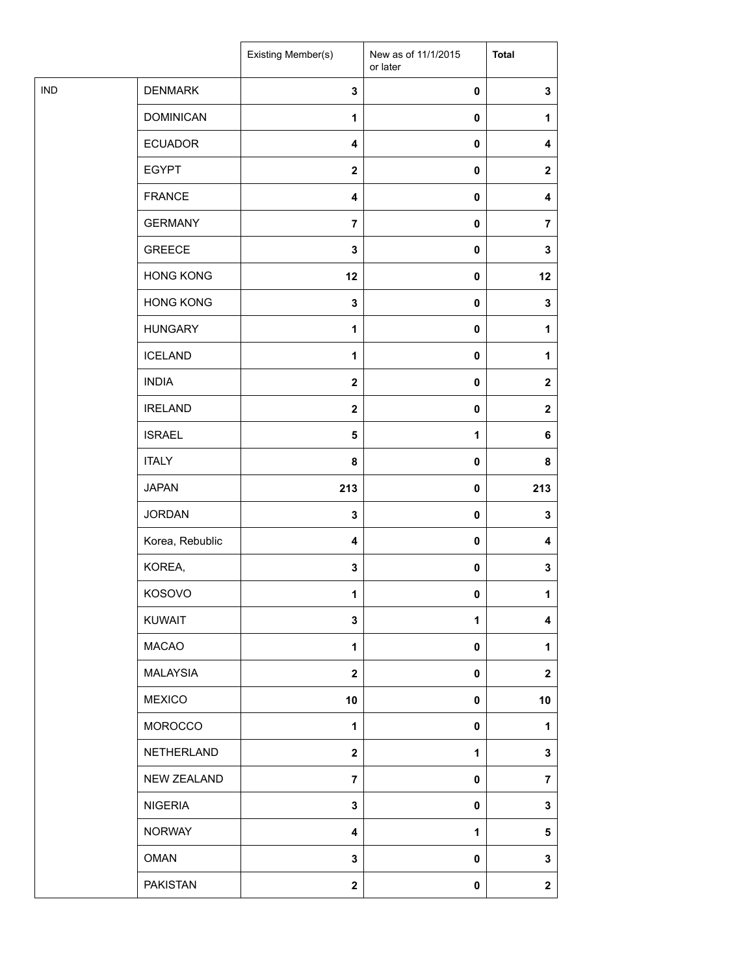| <b>IND</b><br><b>DENMARK</b><br>$\mathbf 3$<br>$\pmb{0}$<br>$\mathbf 3$<br><b>DOMINICAN</b><br>$\pmb{0}$<br>$\mathbf{1}$<br>1<br><b>ECUADOR</b><br>4<br>0<br>4<br><b>EGYPT</b><br>$\mathbf{2}$<br>0<br>$\mathbf{2}$<br><b>FRANCE</b><br>4<br>0<br>4<br><b>GERMANY</b><br>$\overline{7}$<br>0<br>$\overline{7}$<br><b>GREECE</b><br>$\mathbf 3$<br>$\pmb{0}$<br>3<br><b>HONG KONG</b><br>12<br>$\pmb{0}$<br>12<br><b>HONG KONG</b><br>3<br>0<br>3<br><b>HUNGARY</b><br>$\mathbf{1}$<br>0<br>$\mathbf{1}$<br><b>ICELAND</b><br>$\mathbf 1$<br>0<br>1<br><b>INDIA</b><br>$\mathbf{2}$<br>0<br>$\mathbf{2}$<br><b>IRELAND</b><br>$\mathbf{2}$<br>$\pmb{0}$<br>$\mathbf{2}$<br><b>ISRAEL</b><br>$\overline{\mathbf{5}}$<br>1<br>6<br><b>ITALY</b><br>8<br>0<br>8<br><b>JAPAN</b><br>213<br>213<br>0<br><b>JORDAN</b><br>3<br>0<br>3<br>Korea, Rebublic<br>4<br>0<br>4<br>KOREA,<br>$\mathbf 3$<br>$\pmb{0}$<br>3<br>KOSOVO<br>$\mathbf{1}$<br>0<br>1<br>KUWAIT<br>3<br>$\mathbf{1}$<br>4<br><b>MACAO</b><br>$\mathbf{1}$<br>0<br>1<br><b>MALAYSIA</b><br>$\mathbf 2$<br>0<br>$\mathbf{2}$<br><b>MEXICO</b><br>10<br>0<br>10<br>MOROCCO<br>$\mathbf{1}$<br>0<br>1<br>NETHERLAND<br>$\boldsymbol{2}$<br>3<br>1<br><b>NEW ZEALAND</b><br>$\overline{7}$<br>0<br>$\overline{7}$<br><b>NIGERIA</b><br>$\mathbf 3$<br>0<br>3<br><b>NORWAY</b><br>$\mathbf{1}$<br>4<br>5<br><b>OMAN</b><br>3<br>0<br>3<br><b>PAKISTAN</b><br>$\mathbf{2}$<br>$\pmb{0}$<br>$\mathbf 2$ |  | Existing Member(s) | New as of 11/1/2015<br>or later | <b>Total</b> |
|-----------------------------------------------------------------------------------------------------------------------------------------------------------------------------------------------------------------------------------------------------------------------------------------------------------------------------------------------------------------------------------------------------------------------------------------------------------------------------------------------------------------------------------------------------------------------------------------------------------------------------------------------------------------------------------------------------------------------------------------------------------------------------------------------------------------------------------------------------------------------------------------------------------------------------------------------------------------------------------------------------------------------------------------------------------------------------------------------------------------------------------------------------------------------------------------------------------------------------------------------------------------------------------------------------------------------------------------------------------------------------------------------------------------------------------------------------------|--|--------------------|---------------------------------|--------------|
|                                                                                                                                                                                                                                                                                                                                                                                                                                                                                                                                                                                                                                                                                                                                                                                                                                                                                                                                                                                                                                                                                                                                                                                                                                                                                                                                                                                                                                                           |  |                    |                                 |              |
|                                                                                                                                                                                                                                                                                                                                                                                                                                                                                                                                                                                                                                                                                                                                                                                                                                                                                                                                                                                                                                                                                                                                                                                                                                                                                                                                                                                                                                                           |  |                    |                                 |              |
|                                                                                                                                                                                                                                                                                                                                                                                                                                                                                                                                                                                                                                                                                                                                                                                                                                                                                                                                                                                                                                                                                                                                                                                                                                                                                                                                                                                                                                                           |  |                    |                                 |              |
|                                                                                                                                                                                                                                                                                                                                                                                                                                                                                                                                                                                                                                                                                                                                                                                                                                                                                                                                                                                                                                                                                                                                                                                                                                                                                                                                                                                                                                                           |  |                    |                                 |              |
|                                                                                                                                                                                                                                                                                                                                                                                                                                                                                                                                                                                                                                                                                                                                                                                                                                                                                                                                                                                                                                                                                                                                                                                                                                                                                                                                                                                                                                                           |  |                    |                                 |              |
|                                                                                                                                                                                                                                                                                                                                                                                                                                                                                                                                                                                                                                                                                                                                                                                                                                                                                                                                                                                                                                                                                                                                                                                                                                                                                                                                                                                                                                                           |  |                    |                                 |              |
|                                                                                                                                                                                                                                                                                                                                                                                                                                                                                                                                                                                                                                                                                                                                                                                                                                                                                                                                                                                                                                                                                                                                                                                                                                                                                                                                                                                                                                                           |  |                    |                                 |              |
|                                                                                                                                                                                                                                                                                                                                                                                                                                                                                                                                                                                                                                                                                                                                                                                                                                                                                                                                                                                                                                                                                                                                                                                                                                                                                                                                                                                                                                                           |  |                    |                                 |              |
|                                                                                                                                                                                                                                                                                                                                                                                                                                                                                                                                                                                                                                                                                                                                                                                                                                                                                                                                                                                                                                                                                                                                                                                                                                                                                                                                                                                                                                                           |  |                    |                                 |              |
|                                                                                                                                                                                                                                                                                                                                                                                                                                                                                                                                                                                                                                                                                                                                                                                                                                                                                                                                                                                                                                                                                                                                                                                                                                                                                                                                                                                                                                                           |  |                    |                                 |              |
|                                                                                                                                                                                                                                                                                                                                                                                                                                                                                                                                                                                                                                                                                                                                                                                                                                                                                                                                                                                                                                                                                                                                                                                                                                                                                                                                                                                                                                                           |  |                    |                                 |              |
|                                                                                                                                                                                                                                                                                                                                                                                                                                                                                                                                                                                                                                                                                                                                                                                                                                                                                                                                                                                                                                                                                                                                                                                                                                                                                                                                                                                                                                                           |  |                    |                                 |              |
|                                                                                                                                                                                                                                                                                                                                                                                                                                                                                                                                                                                                                                                                                                                                                                                                                                                                                                                                                                                                                                                                                                                                                                                                                                                                                                                                                                                                                                                           |  |                    |                                 |              |
|                                                                                                                                                                                                                                                                                                                                                                                                                                                                                                                                                                                                                                                                                                                                                                                                                                                                                                                                                                                                                                                                                                                                                                                                                                                                                                                                                                                                                                                           |  |                    |                                 |              |
|                                                                                                                                                                                                                                                                                                                                                                                                                                                                                                                                                                                                                                                                                                                                                                                                                                                                                                                                                                                                                                                                                                                                                                                                                                                                                                                                                                                                                                                           |  |                    |                                 |              |
|                                                                                                                                                                                                                                                                                                                                                                                                                                                                                                                                                                                                                                                                                                                                                                                                                                                                                                                                                                                                                                                                                                                                                                                                                                                                                                                                                                                                                                                           |  |                    |                                 |              |
|                                                                                                                                                                                                                                                                                                                                                                                                                                                                                                                                                                                                                                                                                                                                                                                                                                                                                                                                                                                                                                                                                                                                                                                                                                                                                                                                                                                                                                                           |  |                    |                                 |              |
|                                                                                                                                                                                                                                                                                                                                                                                                                                                                                                                                                                                                                                                                                                                                                                                                                                                                                                                                                                                                                                                                                                                                                                                                                                                                                                                                                                                                                                                           |  |                    |                                 |              |
|                                                                                                                                                                                                                                                                                                                                                                                                                                                                                                                                                                                                                                                                                                                                                                                                                                                                                                                                                                                                                                                                                                                                                                                                                                                                                                                                                                                                                                                           |  |                    |                                 |              |
|                                                                                                                                                                                                                                                                                                                                                                                                                                                                                                                                                                                                                                                                                                                                                                                                                                                                                                                                                                                                                                                                                                                                                                                                                                                                                                                                                                                                                                                           |  |                    |                                 |              |
|                                                                                                                                                                                                                                                                                                                                                                                                                                                                                                                                                                                                                                                                                                                                                                                                                                                                                                                                                                                                                                                                                                                                                                                                                                                                                                                                                                                                                                                           |  |                    |                                 |              |
|                                                                                                                                                                                                                                                                                                                                                                                                                                                                                                                                                                                                                                                                                                                                                                                                                                                                                                                                                                                                                                                                                                                                                                                                                                                                                                                                                                                                                                                           |  |                    |                                 |              |
|                                                                                                                                                                                                                                                                                                                                                                                                                                                                                                                                                                                                                                                                                                                                                                                                                                                                                                                                                                                                                                                                                                                                                                                                                                                                                                                                                                                                                                                           |  |                    |                                 |              |
|                                                                                                                                                                                                                                                                                                                                                                                                                                                                                                                                                                                                                                                                                                                                                                                                                                                                                                                                                                                                                                                                                                                                                                                                                                                                                                                                                                                                                                                           |  |                    |                                 |              |
|                                                                                                                                                                                                                                                                                                                                                                                                                                                                                                                                                                                                                                                                                                                                                                                                                                                                                                                                                                                                                                                                                                                                                                                                                                                                                                                                                                                                                                                           |  |                    |                                 |              |
|                                                                                                                                                                                                                                                                                                                                                                                                                                                                                                                                                                                                                                                                                                                                                                                                                                                                                                                                                                                                                                                                                                                                                                                                                                                                                                                                                                                                                                                           |  |                    |                                 |              |
|                                                                                                                                                                                                                                                                                                                                                                                                                                                                                                                                                                                                                                                                                                                                                                                                                                                                                                                                                                                                                                                                                                                                                                                                                                                                                                                                                                                                                                                           |  |                    |                                 |              |
|                                                                                                                                                                                                                                                                                                                                                                                                                                                                                                                                                                                                                                                                                                                                                                                                                                                                                                                                                                                                                                                                                                                                                                                                                                                                                                                                                                                                                                                           |  |                    |                                 |              |
|                                                                                                                                                                                                                                                                                                                                                                                                                                                                                                                                                                                                                                                                                                                                                                                                                                                                                                                                                                                                                                                                                                                                                                                                                                                                                                                                                                                                                                                           |  |                    |                                 |              |
|                                                                                                                                                                                                                                                                                                                                                                                                                                                                                                                                                                                                                                                                                                                                                                                                                                                                                                                                                                                                                                                                                                                                                                                                                                                                                                                                                                                                                                                           |  |                    |                                 |              |
|                                                                                                                                                                                                                                                                                                                                                                                                                                                                                                                                                                                                                                                                                                                                                                                                                                                                                                                                                                                                                                                                                                                                                                                                                                                                                                                                                                                                                                                           |  |                    |                                 |              |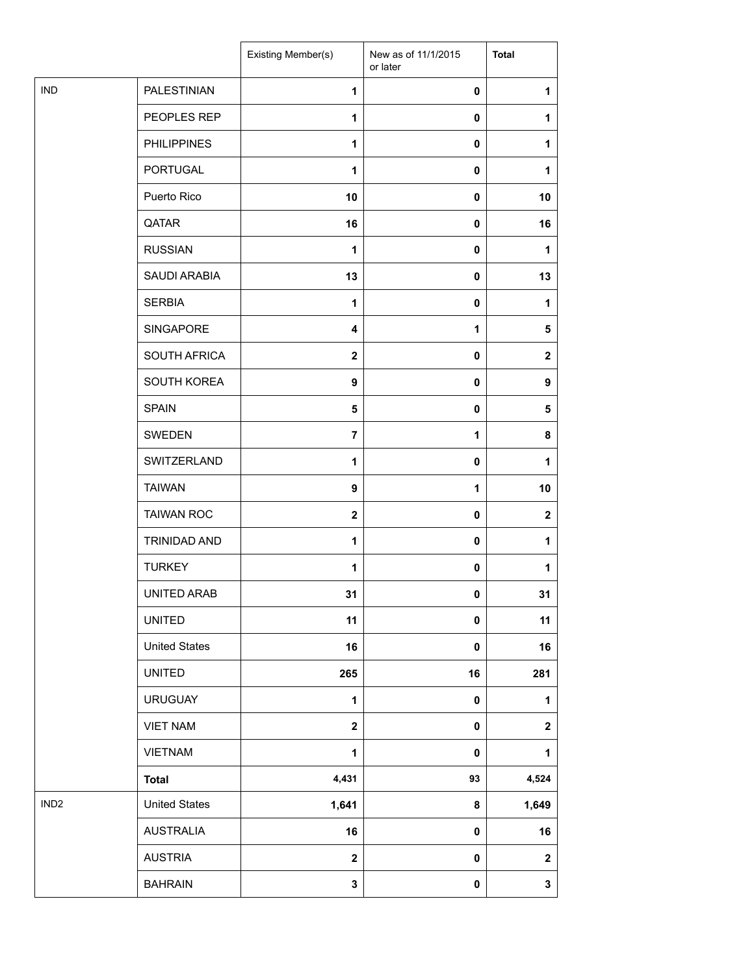|                  |                      | Existing Member(s) | New as of 11/1/2015<br>or later | <b>Total</b>     |
|------------------|----------------------|--------------------|---------------------------------|------------------|
| <b>IND</b>       | <b>PALESTINIAN</b>   | $\mathbf{1}$       | $\mathbf 0$                     | 1                |
|                  | PEOPLES REP          | 1                  | 0                               | 1                |
|                  | <b>PHILIPPINES</b>   | 1                  | $\mathbf 0$                     | 1                |
|                  | <b>PORTUGAL</b>      | 1                  | $\mathbf 0$                     | 1                |
|                  | Puerto Rico          | 10                 | $\mathbf 0$                     | 10               |
|                  | QATAR                | 16                 | $\mathbf 0$                     | 16               |
|                  | <b>RUSSIAN</b>       | 1                  | $\mathbf 0$                     | 1                |
|                  | SAUDI ARABIA         | 13                 | 0                               | 13               |
|                  | <b>SERBIA</b>        | 1                  | 0                               | 1                |
|                  | SINGAPORE            | 4                  | $\mathbf{1}$                    | 5                |
|                  | SOUTH AFRICA         | $\mathbf{2}$       | $\mathbf 0$                     | $\mathbf{2}$     |
|                  | SOUTH KOREA          | 9                  | $\mathbf 0$                     | $\boldsymbol{9}$ |
|                  | <b>SPAIN</b>         | 5                  | $\mathbf 0$                     | 5                |
|                  | SWEDEN               | $\overline{7}$     | 1                               | 8                |
|                  | SWITZERLAND          | 1                  | $\mathbf 0$                     | 1                |
|                  | <b>TAIWAN</b>        | 9                  | 1                               | 10               |
|                  | <b>TAIWAN ROC</b>    | $\mathbf{2}$       | $\mathbf 0$                     | $\mathbf{2}$     |
|                  | TRINIDAD AND         | 1                  | $\mathbf 0$                     | 1                |
|                  | <b>TURKEY</b>        | 1                  | 0                               | 1                |
|                  | UNITED ARAB          | 31                 | 0                               | 31               |
|                  | <b>UNITED</b>        | 11                 | 0                               | 11               |
|                  | <b>United States</b> | 16                 | $\pmb{0}$                       | 16               |
|                  | <b>UNITED</b>        | 265                | 16                              | 281              |
|                  | <b>URUGUAY</b>       | $\mathbf{1}$       | $\pmb{0}$                       | $\mathbf{1}$     |
|                  | <b>VIET NAM</b>      | $\mathbf 2$        | $\pmb{0}$                       | $\mathbf 2$      |
|                  | <b>VIETNAM</b>       | 1                  | 0                               | $\mathbf{1}$     |
|                  | <b>Total</b>         | 4,431              | 93                              | 4,524            |
| IND <sub>2</sub> | <b>United States</b> | 1,641              | 8                               | 1,649            |
|                  | <b>AUSTRALIA</b>     | 16                 | 0                               | 16               |
|                  | <b>AUSTRIA</b>       | $\mathbf 2$        | 0                               | $\mathbf{2}$     |
|                  | <b>BAHRAIN</b>       | 3                  | $\mathbf 0$                     | $\mathbf{3}$     |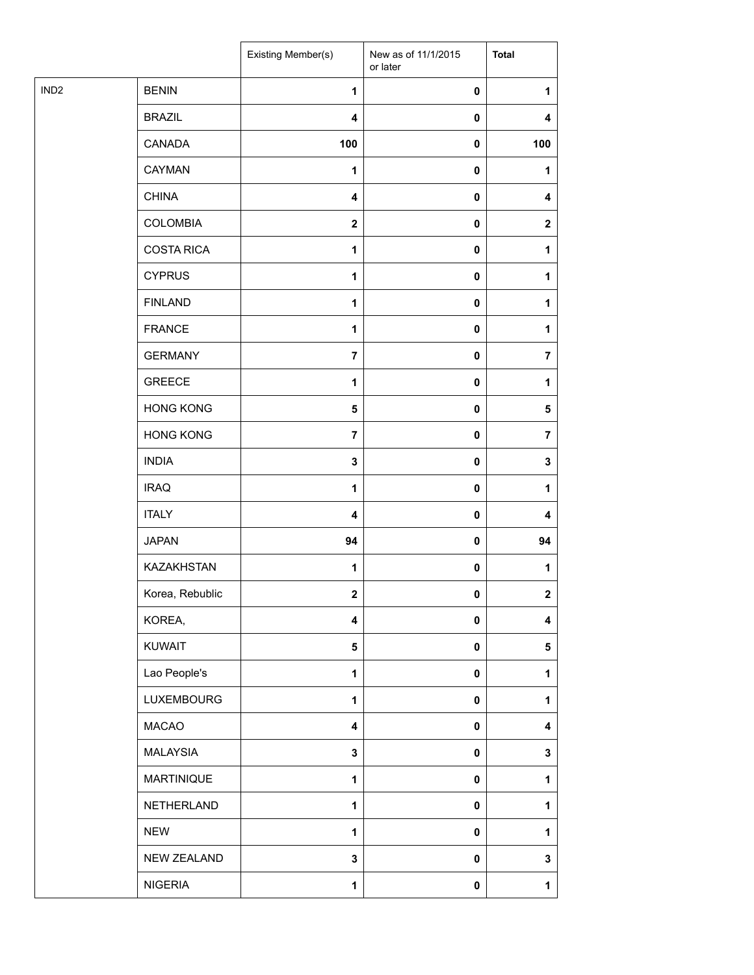|                  |                   | Existing Member(s)      | New as of 11/1/2015<br>or later | <b>Total</b>   |
|------------------|-------------------|-------------------------|---------------------------------|----------------|
| IND <sub>2</sub> | <b>BENIN</b>      | 1                       | $\pmb{0}$                       | 1              |
|                  | <b>BRAZIL</b>     | $\overline{\mathbf{4}}$ | $\pmb{0}$                       | 4              |
|                  | CANADA            | 100                     | $\pmb{0}$                       | 100            |
|                  | CAYMAN            | 1                       | $\pmb{0}$                       | 1              |
|                  | <b>CHINA</b>      | 4                       | $\pmb{0}$                       | 4              |
|                  | <b>COLOMBIA</b>   | $\mathbf{2}$            | $\pmb{0}$                       | $\mathbf{2}$   |
|                  | <b>COSTA RICA</b> | $\mathbf{1}$            | $\pmb{0}$                       | 1              |
|                  | <b>CYPRUS</b>     | 1                       | $\pmb{0}$                       | 1              |
|                  | <b>FINLAND</b>    | 1                       | $\pmb{0}$                       | 1              |
|                  | <b>FRANCE</b>     | 1                       | 0                               | 1              |
|                  | <b>GERMANY</b>    | $\overline{7}$          | $\pmb{0}$                       | $\overline{7}$ |
|                  | <b>GREECE</b>     | $\mathbf{1}$            | $\pmb{0}$                       | 1              |
|                  | <b>HONG KONG</b>  | $\overline{\mathbf{5}}$ | $\pmb{0}$                       | $\sqrt{5}$     |
|                  | <b>HONG KONG</b>  | $\overline{7}$          | $\pmb{0}$                       | $\overline{7}$ |
|                  | <b>INDIA</b>      | $\mathbf 3$             | $\pmb{0}$                       | 3              |
|                  | <b>IRAQ</b>       | 1                       | $\pmb{0}$                       | 1              |
|                  | <b>ITALY</b>      | $\overline{\mathbf{4}}$ | $\pmb{0}$                       | 4              |
|                  | <b>JAPAN</b>      | 94                      | $\pmb{0}$                       | 94             |
|                  | <b>KAZAKHSTAN</b> | 1                       | 0                               | 1              |
|                  | Korea, Rebublic   | $\overline{2}$          | $\pmb{0}$                       | $\overline{2}$ |
|                  | KOREA,            | $\overline{\mathbf{4}}$ | $\pmb{0}$                       | 4              |
|                  | <b>KUWAIT</b>     | $\overline{\mathbf{5}}$ | $\pmb{0}$                       | 5              |
|                  | Lao People's      | $\mathbf{1}$            | $\pmb{0}$                       | 1              |
|                  | <b>LUXEMBOURG</b> | $\mathbf{1}$            | $\pmb{0}$                       | 1              |
|                  | <b>MACAO</b>      | $\overline{\mathbf{4}}$ | $\pmb{0}$                       | 4              |
|                  | <b>MALAYSIA</b>   | $\mathbf 3$             | $\pmb{0}$                       | 3              |
|                  | <b>MARTINIQUE</b> | $\mathbf{1}$            | $\pmb{0}$                       | 1              |
|                  | NETHERLAND        | $\mathbf{1}$            | $\pmb{0}$                       | 1              |
|                  | <b>NEW</b>        | $\mathbf{1}$            | $\pmb{0}$                       | 1              |
|                  | NEW ZEALAND       | 3                       | $\pmb{0}$                       | 3              |
|                  | <b>NIGERIA</b>    | $\mathbf{1}$            | $\pmb{0}$                       | 1              |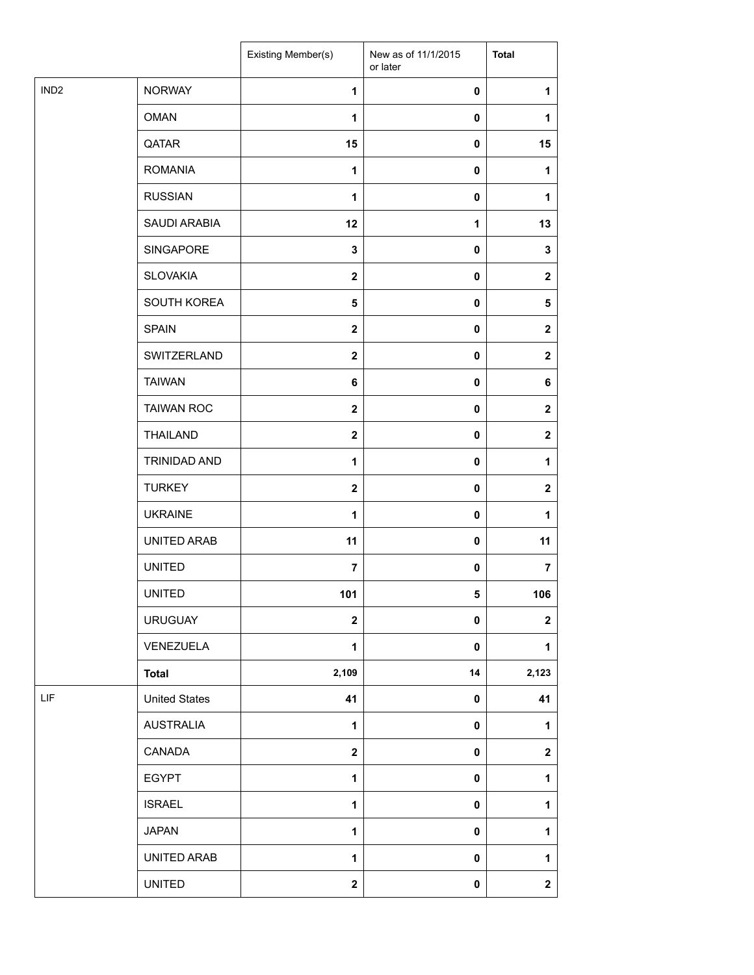|                  |                      | Existing Member(s)      | New as of 11/1/2015<br>or later | <b>Total</b>            |
|------------------|----------------------|-------------------------|---------------------------------|-------------------------|
| IND <sub>2</sub> | <b>NORWAY</b>        | 1                       | 0                               | 1                       |
|                  | <b>OMAN</b>          | 1                       | $\pmb{0}$                       | 1                       |
|                  | QATAR                | 15                      | $\pmb{0}$                       | 15                      |
|                  | <b>ROMANIA</b>       | $\mathbf{1}$            | $\mathbf 0$                     | 1                       |
|                  | <b>RUSSIAN</b>       | 1                       | $\pmb{0}$                       | 1                       |
|                  | SAUDI ARABIA         | 12                      | 1                               | 13                      |
|                  | SINGAPORE            | 3                       | $\pmb{0}$                       | 3                       |
|                  | <b>SLOVAKIA</b>      | $\mathbf{2}$            | $\pmb{0}$                       | $\mathbf{2}$            |
|                  | SOUTH KOREA          | 5                       | $\pmb{0}$                       | 5                       |
|                  | <b>SPAIN</b>         | $\mathbf{2}$            | $\pmb{0}$                       | $\boldsymbol{2}$        |
|                  | SWITZERLAND          | $\mathbf{2}$            | $\pmb{0}$                       | $\mathbf 2$             |
|                  | <b>TAIWAN</b>        | 6                       | $\pmb{0}$                       | 6                       |
|                  | <b>TAIWAN ROC</b>    | $\mathbf{2}$            | $\pmb{0}$                       | $\mathbf 2$             |
|                  | <b>THAILAND</b>      | $\mathbf{2}$            | $\mathbf 0$                     | $\boldsymbol{2}$        |
|                  | TRINIDAD AND         | $\mathbf{1}$            | 0                               | 1                       |
|                  | <b>TURKEY</b>        | $\mathbf{2}$            | $\mathbf 0$                     | $\boldsymbol{2}$        |
|                  | <b>UKRAINE</b>       | 1                       | $\mathbf 0$                     | 1                       |
|                  | UNITED ARAB          | 11                      | $\pmb{0}$                       | 11                      |
|                  | <b>UNITED</b>        | $\overline{7}$          | 0                               | 7                       |
|                  | <b>UNITED</b>        | 101                     | 5                               | 106                     |
|                  | <b>URUGUAY</b>       | $\overline{\mathbf{2}}$ | $\mathbf 0$                     | $\mathbf 2$             |
|                  | VENEZUELA            | $\mathbf{1}$            | $\pmb{0}$                       | $\mathbf{1}$            |
|                  | <b>Total</b>         | 2,109                   | 14                              | 2,123                   |
| LIF              | <b>United States</b> | 41                      | $\pmb{0}$                       | 41                      |
|                  | <b>AUSTRALIA</b>     | 1                       | $\mathbf 0$                     | 1                       |
|                  | CANADA               | $\overline{\mathbf{2}}$ | $\pmb{0}$                       | $\boldsymbol{2}$        |
|                  | <b>EGYPT</b>         | 1                       | $\pmb{0}$                       | 1                       |
|                  | <b>ISRAEL</b>        | 1                       | $\pmb{0}$                       | 1                       |
|                  | <b>JAPAN</b>         | $\mathbf{1}$            | $\pmb{0}$                       | $\mathbf{1}$            |
|                  | UNITED ARAB          | 1                       | $\pmb{0}$                       | 1                       |
|                  | <b>UNITED</b>        | $\mathbf{2}$            | $\pmb{0}$                       | $\overline{\mathbf{2}}$ |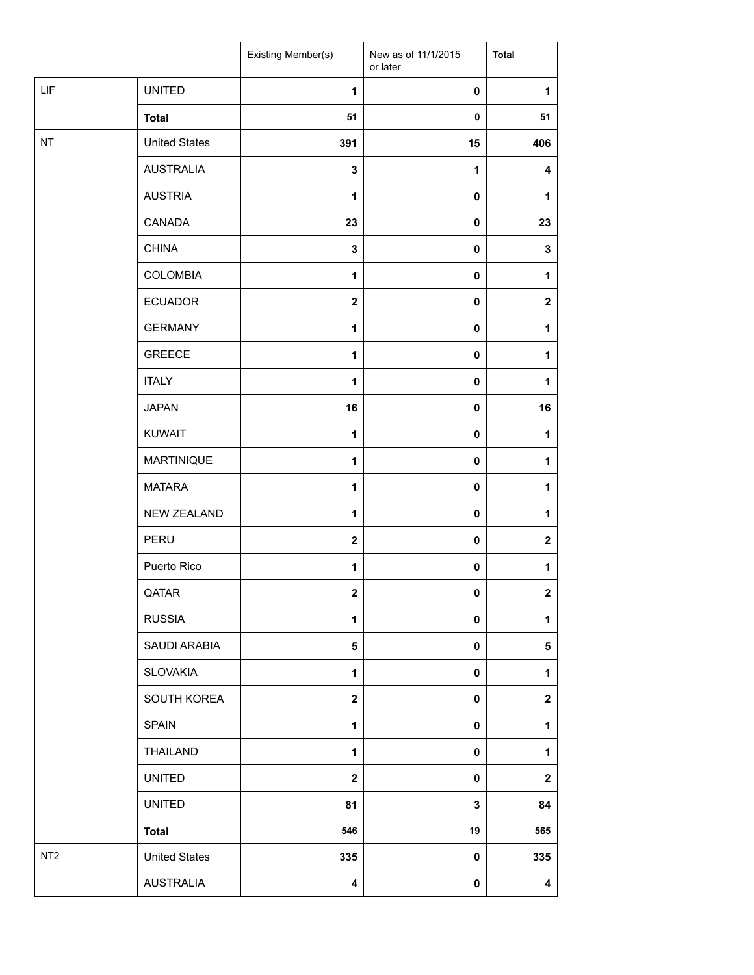|                 |                      | Existing Member(s)      | New as of 11/1/2015<br>or later | <b>Total</b>            |
|-----------------|----------------------|-------------------------|---------------------------------|-------------------------|
| LIF             | <b>UNITED</b>        | 1                       | $\mathbf 0$                     | 1                       |
|                 | <b>Total</b>         | 51                      | 0                               | 51                      |
| NT              | <b>United States</b> | 391                     | 15                              | 406                     |
|                 | <b>AUSTRALIA</b>     | 3                       | 1                               | 4                       |
|                 | <b>AUSTRIA</b>       | $\mathbf{1}$            | 0                               | 1                       |
|                 | CANADA               | 23                      | $\mathbf 0$                     | 23                      |
|                 | <b>CHINA</b>         | $\mathbf 3$             | 0                               | $\mathbf{3}$            |
|                 | <b>COLOMBIA</b>      | $\mathbf{1}$            | $\mathbf 0$                     | $\mathbf{1}$            |
|                 | <b>ECUADOR</b>       | $\mathbf 2$             | 0                               | $\mathbf 2$             |
|                 | <b>GERMANY</b>       | $\mathbf{1}$            | 0                               | $\mathbf{1}$            |
|                 | <b>GREECE</b>        | $\mathbf{1}$            | $\mathbf 0$                     | $\mathbf{1}$            |
|                 | <b>ITALY</b>         | $\mathbf{1}$            | $\pmb{0}$                       | $\mathbf{1}$            |
|                 | <b>JAPAN</b>         | 16                      | 0                               | 16                      |
|                 | <b>KUWAIT</b>        | 1                       | $\mathbf 0$                     | $\mathbf{1}$            |
|                 | <b>MARTINIQUE</b>    | $\mathbf{1}$            | 0                               | $\mathbf{1}$            |
|                 | <b>MATARA</b>        | 1                       | 0                               | 1                       |
|                 | <b>NEW ZEALAND</b>   | $\mathbf{1}$            | 0                               | $\mathbf{1}$            |
|                 | PERU                 | $\overline{\mathbf{2}}$ | 0                               | $\mathbf 2$             |
|                 | Puerto Rico          | 1                       | 0                               | 1                       |
|                 | QATAR                | $\mathbf 2$             | $\pmb{0}$                       | $\overline{\mathbf{2}}$ |
|                 | <b>RUSSIA</b>        | 1                       | 0                               | $\mathbf{1}$            |
|                 | SAUDI ARABIA         | 5                       | 0                               | $5\phantom{.0}$         |
|                 | <b>SLOVAKIA</b>      | $\mathbf{1}$            | 0                               | $\mathbf{1}$            |
|                 | SOUTH KOREA          | $\overline{\mathbf{2}}$ | 0                               | $\mathbf{2}$            |
|                 | <b>SPAIN</b>         | $\mathbf{1}$            | 0                               | $\mathbf{1}$            |
|                 | THAILAND             | 1                       | 0                               | $\mathbf{1}$            |
|                 | <b>UNITED</b>        | $\mathbf 2$             | 0                               | $\boldsymbol{2}$        |
|                 | <b>UNITED</b>        | 81                      | 3                               | 84                      |
|                 | <b>Total</b>         | 546                     | 19                              | 565                     |
| NT <sub>2</sub> | <b>United States</b> | 335                     | 0                               | 335                     |
|                 | <b>AUSTRALIA</b>     | 4                       | $\pmb{0}$                       | $\overline{\mathbf{4}}$ |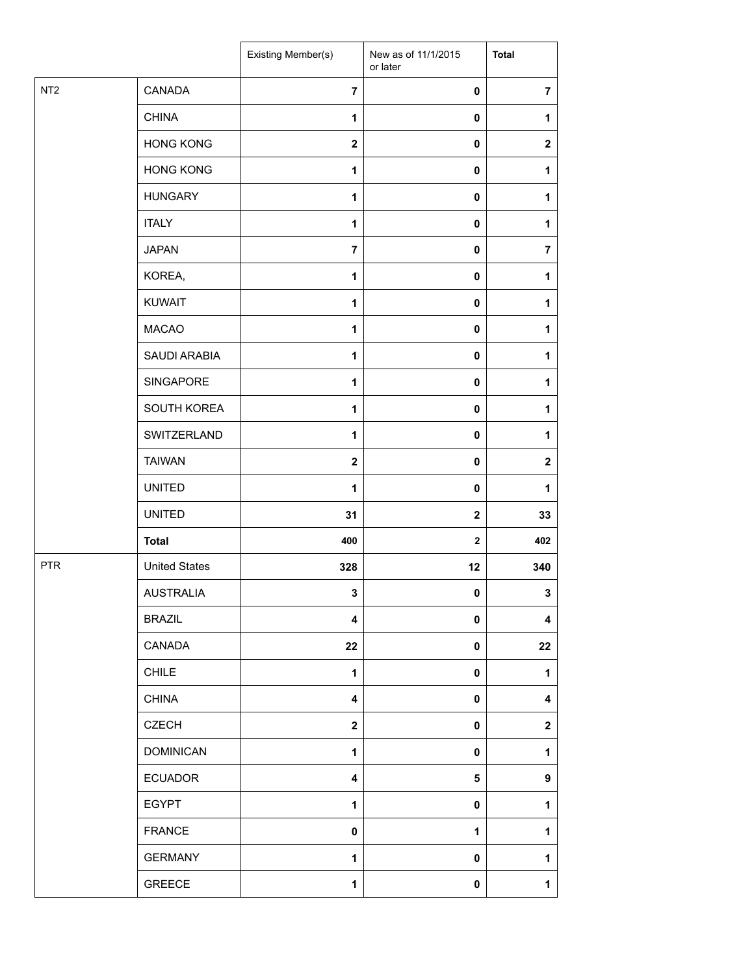|                 |                      | Existing Member(s) | New as of 11/1/2015<br>or later | <b>Total</b>   |
|-----------------|----------------------|--------------------|---------------------------------|----------------|
| NT <sub>2</sub> | CANADA               | $\overline{7}$     | 0                               | $\overline{7}$ |
|                 | <b>CHINA</b>         | 1                  | 0                               | 1              |
|                 | <b>HONG KONG</b>     | $\mathbf{2}$       | 0                               | $\mathbf{2}$   |
|                 | <b>HONG KONG</b>     | $\mathbf{1}$       | 0                               | 1              |
|                 | <b>HUNGARY</b>       | 1                  | 0                               | 1              |
|                 | <b>ITALY</b>         | 1                  | 0                               | 1              |
|                 | <b>JAPAN</b>         | $\overline{7}$     | 0                               | $\overline{7}$ |
|                 | KOREA,               | 1                  | 0                               | 1              |
|                 | <b>KUWAIT</b>        | 1                  | 0                               | 1              |
|                 | <b>MACAO</b>         | $\mathbf{1}$       | 0                               | 1              |
|                 | SAUDI ARABIA         | 1                  | 0                               | 1              |
|                 | SINGAPORE            | $\mathbf{1}$       | 0                               | 1              |
|                 | SOUTH KOREA          | $\mathbf{1}$       | 0                               | 1              |
|                 | SWITZERLAND          | 1                  | 0                               | 1              |
|                 | <b>TAIWAN</b>        | $\mathbf{2}$       | 0                               | $\mathbf{2}$   |
|                 | <b>UNITED</b>        | $\mathbf{1}$       | 0                               | 1              |
|                 | <b>UNITED</b>        | 31                 | $\mathbf 2$                     | 33             |
|                 | <b>Total</b>         | 400                | $\mathbf 2$                     | 402            |
| <b>PTR</b>      | <b>United States</b> | 328                | 12                              | 340            |
|                 | <b>AUSTRALIA</b>     | 3                  | $\mathbf 0$                     | 3              |
|                 | <b>BRAZIL</b>        | 4                  | 0                               | 4              |
|                 | CANADA               | 22                 | 0                               | 22             |
|                 | <b>CHILE</b>         | $\mathbf{1}$       | 0                               | 1              |
|                 | <b>CHINA</b>         | 4                  | 0                               | 4              |
|                 | <b>CZECH</b>         | $\boldsymbol{2}$   | 0                               | $\mathbf 2$    |
|                 | <b>DOMINICAN</b>     | $\mathbf{1}$       | 0                               | 1              |
|                 | <b>ECUADOR</b>       | 4                  | 5                               | 9              |
|                 | <b>EGYPT</b>         | $\mathbf{1}$       | 0                               | 1              |
|                 | <b>FRANCE</b>        | 0                  | 1                               | 1              |
|                 | <b>GERMANY</b>       | 1                  | 0                               | 1              |
|                 | GREECE               | 1                  | 0                               | 1              |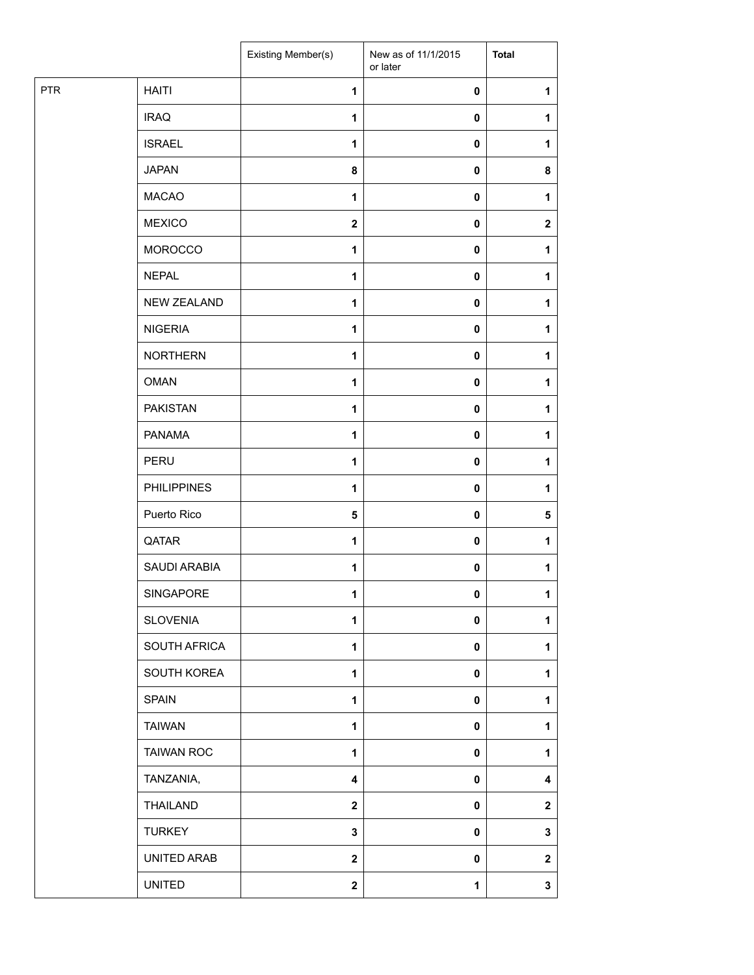|            |                    | Existing Member(s) | New as of 11/1/2015<br>or later | <b>Total</b> |
|------------|--------------------|--------------------|---------------------------------|--------------|
| <b>PTR</b> | <b>HAITI</b>       | $\mathbf{1}$       | $\pmb{0}$                       | 1            |
|            | <b>IRAQ</b>        | 1                  | $\pmb{0}$                       | 1            |
|            | <b>ISRAEL</b>      | 1                  | $\pmb{0}$                       | 1            |
|            | <b>JAPAN</b>       | 8                  | $\pmb{0}$                       | 8            |
|            | <b>MACAO</b>       | 1                  | 0                               | 1            |
|            | <b>MEXICO</b>      | $\mathbf{2}$       | $\pmb{0}$                       | $\mathbf{2}$ |
|            | <b>MOROCCO</b>     | $\mathbf{1}$       | $\pmb{0}$                       | 1            |
|            | <b>NEPAL</b>       | 1                  | $\pmb{0}$                       | 1            |
|            | <b>NEW ZEALAND</b> | 1                  | $\pmb{0}$                       | 1            |
|            | <b>NIGERIA</b>     | $\mathbf{1}$       | $\pmb{0}$                       | 1            |
|            | <b>NORTHERN</b>    | 1                  | $\pmb{0}$                       | 1            |
|            | <b>OMAN</b>        | $\mathbf{1}$       | $\pmb{0}$                       | 1            |
|            | <b>PAKISTAN</b>    | $\mathbf{1}$       | $\pmb{0}$                       | 1            |
|            | <b>PANAMA</b>      | 1                  | $\pmb{0}$                       | 1            |
|            | PERU               | 1                  | $\pmb{0}$                       | 1            |
|            | <b>PHILIPPINES</b> | $\mathbf{1}$       | $\pmb{0}$                       | 1            |
|            | Puerto Rico        | ${\bf 5}$          | $\pmb{0}$                       | 5            |
|            | QATAR              | 1                  | $\pmb{0}$                       | 1            |
|            | SAUDI ARABIA       | $\mathbf{1}$       | $\pmb{0}$                       | 1            |
|            | SINGAPORE          | 1                  | $\mathbf{0}$                    | 1            |
|            | <b>SLOVENIA</b>    | 1                  | $\pmb{0}$                       | 1            |
|            | SOUTH AFRICA       | $\mathbf{1}$       | $\pmb{0}$                       | 1            |
|            | SOUTH KOREA        | $\mathbf{1}$       | $\pmb{0}$                       | 1            |
|            | <b>SPAIN</b>       | $\mathbf{1}$       | $\pmb{0}$                       | 1            |
|            | <b>TAIWAN</b>      | $\mathbf{1}$       | $\pmb{0}$                       | 1            |
|            | <b>TAIWAN ROC</b>  | 1                  | 0                               | 1            |
|            | TANZANIA,          | 4                  | $\pmb{0}$                       | 4            |
|            | <b>THAILAND</b>    | $\mathbf{2}$       | $\pmb{0}$                       | $\mathbf{2}$ |
|            | <b>TURKEY</b>      | $\mathbf 3$        | $\pmb{0}$                       | 3            |
|            | UNITED ARAB        | $\mathbf{2}$       | $\pmb{0}$                       | $\mathbf{2}$ |
|            | <b>UNITED</b>      | $\mathbf 2$        | $\mathbf 1$                     | $\mathbf 3$  |
|            |                    |                    |                                 |              |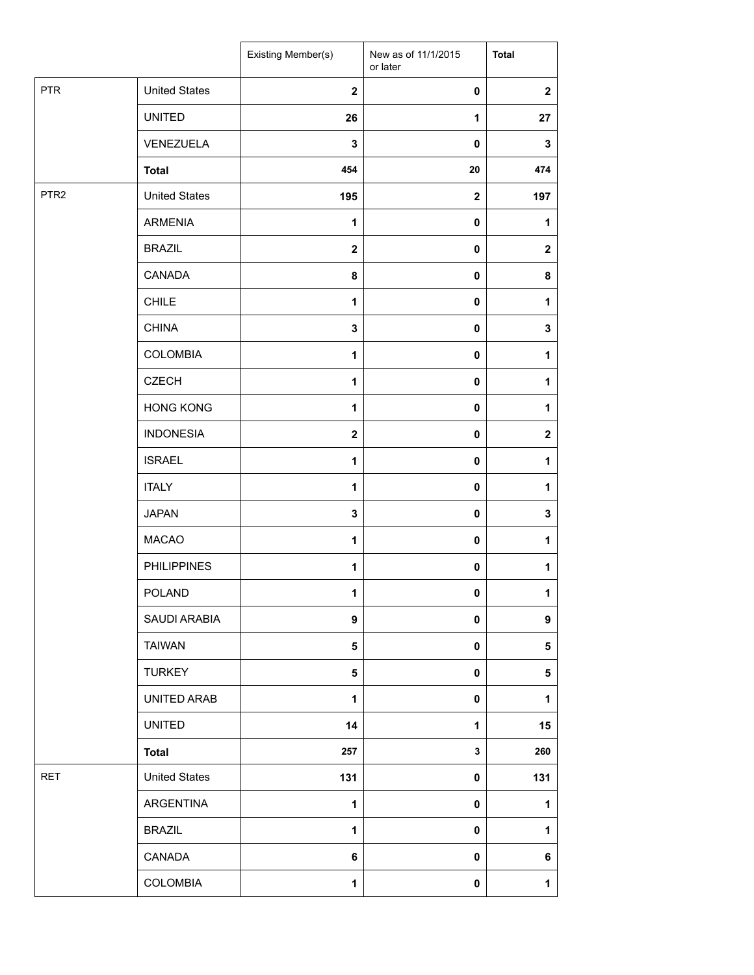|                  |                      | Existing Member(s) | New as of 11/1/2015<br>or later | <b>Total</b>     |
|------------------|----------------------|--------------------|---------------------------------|------------------|
| <b>PTR</b>       | <b>United States</b> | $\mathbf{2}$       | $\pmb{0}$                       | $\mathbf{2}$     |
|                  | <b>UNITED</b>        | 26                 | 1                               | 27               |
|                  | VENEZUELA            | $\mathbf 3$        | 0                               | $\mathbf 3$      |
|                  | <b>Total</b>         | 454                | 20                              | 474              |
| PTR <sub>2</sub> | <b>United States</b> | 195                | $\mathbf 2$                     | 197              |
|                  | <b>ARMENIA</b>       | 1                  | 0                               | 1                |
|                  | <b>BRAZIL</b>        | $\mathbf{2}$       | 0                               | $\mathbf{2}$     |
|                  | CANADA               | 8                  | $\mathbf 0$                     | 8                |
|                  | <b>CHILE</b>         | 1                  | 0                               | $\mathbf{1}$     |
|                  | <b>CHINA</b>         | $\mathbf 3$        | 0                               | $\mathbf 3$      |
|                  | <b>COLOMBIA</b>      | 1                  | 0                               | 1                |
|                  | <b>CZECH</b>         | $\mathbf{1}$       | 0                               | $\mathbf{1}$     |
|                  | <b>HONG KONG</b>     | $\mathbf{1}$       | 0                               | 1                |
|                  | <b>INDONESIA</b>     | $\mathbf{2}$       | 0                               | $\mathbf{2}$     |
|                  | <b>ISRAEL</b>        | $\mathbf{1}$       | 0                               | 1                |
|                  | <b>ITALY</b>         | 1                  | 0                               | $\mathbf{1}$     |
|                  | <b>JAPAN</b>         | $\mathbf 3$        | 0                               | $\mathbf 3$      |
|                  | <b>MACAO</b>         | 1                  | 0                               | 1                |
|                  | <b>PHILIPPINES</b>   | 1                  | 0                               | $\mathbf{1}$     |
|                  | <b>POLAND</b>        | 1                  | 0                               | $\mathbf{1}$     |
|                  | SAUDI ARABIA         | 9                  | 0                               | $\boldsymbol{9}$ |
|                  | <b>TAIWAN</b>        | 5                  | 0                               | 5                |
|                  | <b>TURKEY</b>        | 5                  | 0                               | 5                |
|                  | UNITED ARAB          | $\mathbf{1}$       | 0                               | $\mathbf{1}$     |
|                  | <b>UNITED</b>        | 14                 | 1                               | 15               |
|                  | <b>Total</b>         | 257                | $\mathbf{3}$                    | 260              |
| <b>RET</b>       | <b>United States</b> | 131                | 0                               | 131              |
|                  | ARGENTINA            | 1                  | 0                               | 1                |
|                  | <b>BRAZIL</b>        | $\mathbf{1}$       | 0                               | $\mathbf{1}$     |
|                  | CANADA               | 6                  | 0                               | 6                |
|                  | <b>COLOMBIA</b>      | 1                  | $\pmb{0}$                       | $\mathbf{1}$     |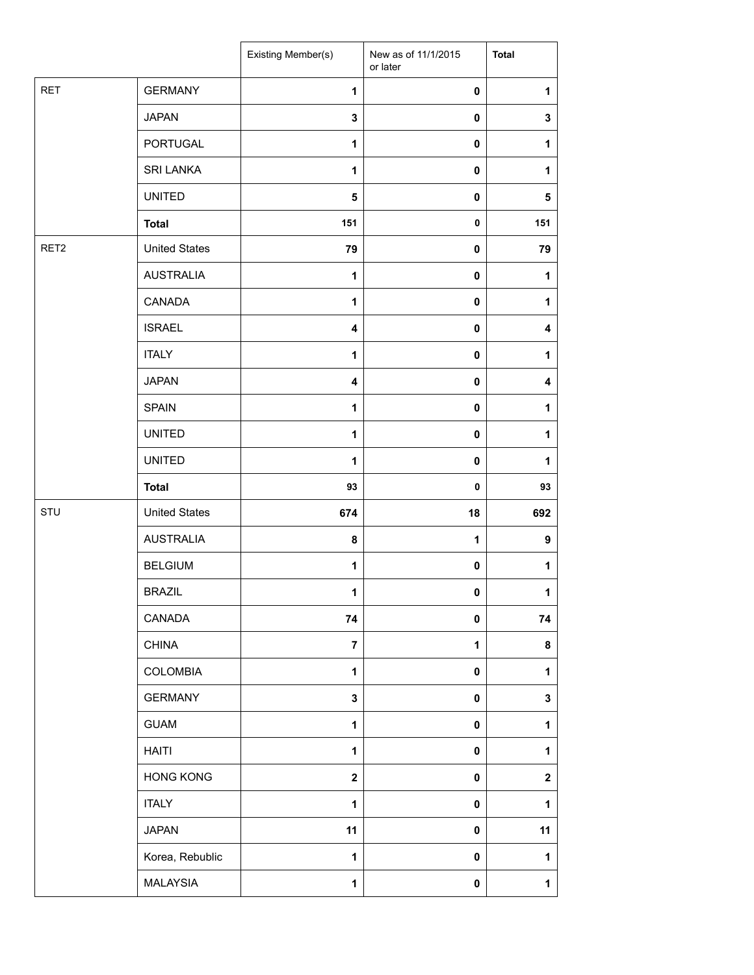|                  |                      | Existing Member(s)      | New as of 11/1/2015<br>or later | <b>Total</b>     |
|------------------|----------------------|-------------------------|---------------------------------|------------------|
| <b>RET</b>       | <b>GERMANY</b>       | 1                       | 0                               | 1                |
|                  | <b>JAPAN</b>         | 3                       | 0                               | $\mathbf 3$      |
|                  | <b>PORTUGAL</b>      | 1                       | $\mathbf 0$                     | 1                |
|                  | <b>SRI LANKA</b>     | 1                       | 0                               | 1                |
|                  | <b>UNITED</b>        | 5                       | 0                               | ${\bf 5}$        |
|                  | <b>Total</b>         | 151                     | 0                               | 151              |
| RET <sub>2</sub> | <b>United States</b> | 79                      | 0                               | 79               |
|                  | <b>AUSTRALIA</b>     | $\mathbf{1}$            | $\mathbf 0$                     | 1                |
|                  | CANADA               | $\mathbf{1}$            | 0                               | 1                |
|                  | <b>ISRAEL</b>        | $\overline{\mathbf{4}}$ | $\mathbf 0$                     | $\boldsymbol{4}$ |
|                  | <b>ITALY</b>         | $\mathbf{1}$            | 0                               | 1                |
|                  | <b>JAPAN</b>         | 4                       | $\mathbf 0$                     | 4                |
|                  | <b>SPAIN</b>         | $\mathbf{1}$            | 0                               | 1                |
|                  | <b>UNITED</b>        | $\mathbf{1}$            | 0                               | 1                |
|                  | <b>UNITED</b>        | $\mathbf{1}$            | $\mathbf 0$                     | 1                |
|                  | <b>Total</b>         | 93                      | 0                               | 93               |
| STU              | <b>United States</b> | 674                     | 18                              | 692              |
|                  | <b>AUSTRALIA</b>     | 8                       | 1                               | $\boldsymbol{9}$ |
|                  | <b>BELGIUM</b>       | 1                       | 0                               | 1                |
|                  | <b>BRAZIL</b>        | 1                       | 0                               | $\mathbf{1}$     |
|                  | CANADA               | 74                      | 0                               | 74               |
|                  | <b>CHINA</b>         | $\overline{7}$          | 1                               | 8                |
|                  | <b>COLOMBIA</b>      | $\mathbf{1}$            | $\pmb{0}$                       | $\mathbf{1}$     |
|                  | <b>GERMANY</b>       | $\mathbf{3}$            | $\pmb{0}$                       | $\mathbf 3$      |
|                  | <b>GUAM</b>          | $\mathbf{1}$            | 0                               | $\mathbf{1}$     |
|                  | <b>HAITI</b>         | $\mathbf{1}$            | 0                               | 1                |
|                  | <b>HONG KONG</b>     | $\mathbf 2$             | $\pmb{0}$                       | $\boldsymbol{2}$ |
|                  | <b>ITALY</b>         | $\mathbf{1}$            | $\pmb{0}$                       | $\mathbf{1}$     |
|                  | <b>JAPAN</b>         | 11                      | $\pmb{0}$                       | 11               |
|                  | Korea, Rebublic      | 1                       | $\pmb{0}$                       | 1                |
|                  | MALAYSIA             | $\mathbf{1}$            | $\pmb{0}$                       | $\mathbf{1}$     |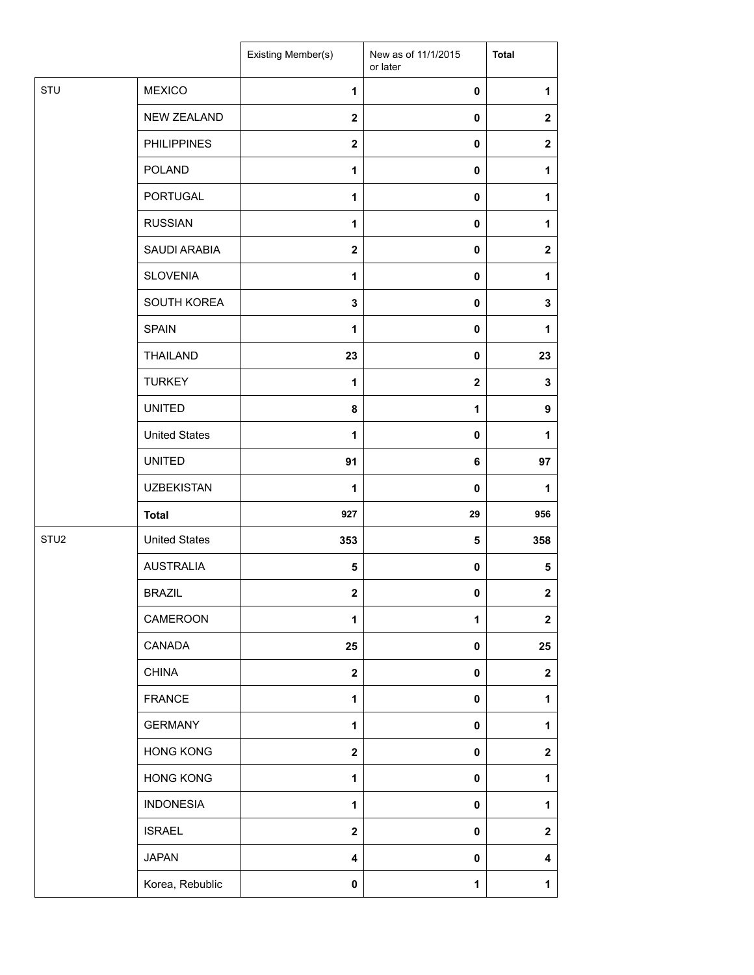|                  |                      | Existing Member(s) | New as of 11/1/2015<br>or later | <b>Total</b>     |
|------------------|----------------------|--------------------|---------------------------------|------------------|
| STU              | <b>MEXICO</b>        | 1                  | $\mathbf 0$                     | 1                |
|                  | <b>NEW ZEALAND</b>   | $\mathbf{2}$       | $\mathbf 0$                     | $\mathbf{2}$     |
|                  | <b>PHILIPPINES</b>   | $\mathbf{2}$       | $\mathbf 0$                     | $\boldsymbol{2}$ |
|                  | <b>POLAND</b>        | 1                  | $\mathbf 0$                     | 1                |
|                  | <b>PORTUGAL</b>      | 1                  | 0                               | 1                |
|                  | <b>RUSSIAN</b>       | 1                  | $\mathbf 0$                     | 1                |
|                  | SAUDI ARABIA         | $\mathbf{2}$       | $\pmb{0}$                       | $\mathbf{2}$     |
|                  | <b>SLOVENIA</b>      | 1                  | $\mathbf 0$                     | 1                |
|                  | SOUTH KOREA          | 3                  | $\mathbf 0$                     | $\mathbf 3$      |
|                  | <b>SPAIN</b>         | 1                  | $\mathbf 0$                     | 1                |
|                  | <b>THAILAND</b>      | 23                 | 0                               | 23               |
|                  | <b>TURKEY</b>        | 1                  | $\mathbf 2$                     | $\mathbf 3$      |
|                  | <b>UNITED</b>        | 8                  | 1                               | $\boldsymbol{9}$ |
|                  | <b>United States</b> | 1                  | $\mathbf 0$                     | 1                |
|                  | <b>UNITED</b>        | 91                 | 6                               | 97               |
|                  | <b>UZBEKISTAN</b>    | 1                  | $\mathbf 0$                     | 1                |
|                  | <b>Total</b>         | 927                | 29                              | 956              |
| STU <sub>2</sub> | <b>United States</b> | 353                | 5                               | 358              |
|                  | <b>AUSTRALIA</b>     | 5                  | $\mathbf 0$                     | ${\bf 5}$        |
|                  | <b>BRAZIL</b>        | $\mathbf 2$        | $\mathbf 0$                     | $\mathbf{2}$     |
|                  | CAMEROON             | 1                  | $\mathbf{1}$                    | $\mathbf{2}$     |
|                  | CANADA               | 25                 | $\mathbf 0$                     | 25               |
|                  | <b>CHINA</b>         | $\mathbf{2}$       | $\pmb{0}$                       | $\mathbf 2$      |
|                  | <b>FRANCE</b>        | $\mathbf{1}$       | $\mathbf 0$                     | 1                |
|                  | <b>GERMANY</b>       | 1                  | $\pmb{0}$                       | 1                |
|                  | <b>HONG KONG</b>     | $\mathbf{2}$       | 0                               | $\boldsymbol{2}$ |
|                  | <b>HONG KONG</b>     | $\mathbf{1}$       | $\pmb{0}$                       | 1                |
|                  | <b>INDONESIA</b>     | 1                  | $\pmb{0}$                       | 1                |
|                  | <b>ISRAEL</b>        | $\mathbf{2}$       | 0                               | $\mathbf{2}$     |
|                  | <b>JAPAN</b>         | 4                  | $\pmb{0}$                       | 4                |
|                  | Korea, Rebublic      | $\mathbf 0$        | $\mathbf 1$                     | $\mathbf{1}$     |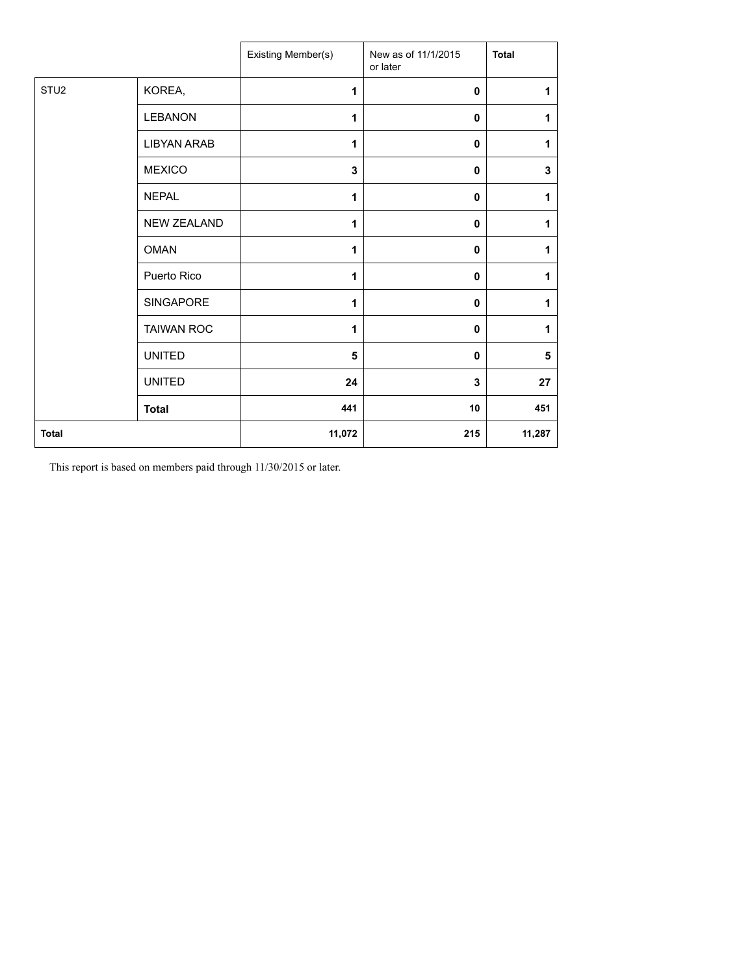|                  |                    | Existing Member(s) | New as of 11/1/2015<br>or later | <b>Total</b> |
|------------------|--------------------|--------------------|---------------------------------|--------------|
| STU <sub>2</sub> | KOREA,             | 1                  | $\mathbf{0}$                    | 1            |
|                  | <b>LEBANON</b>     | 1                  | 0                               | 1            |
|                  | <b>LIBYAN ARAB</b> | 1                  | $\mathbf 0$                     | 1            |
|                  | <b>MEXICO</b>      | 3                  | 0                               | $\mathbf 3$  |
|                  | <b>NEPAL</b>       | 1                  | $\mathbf 0$                     | 1            |
|                  | <b>NEW ZEALAND</b> | 1                  | $\mathbf{0}$                    | 1            |
|                  | <b>OMAN</b>        | 1                  | 0                               | 1            |
|                  | Puerto Rico        | 1                  | $\mathbf{0}$                    | 1            |
|                  | SINGAPORE          | 1                  | $\mathbf 0$                     | 1            |
|                  | <b>TAIWAN ROC</b>  | 1                  | $\mathbf{0}$                    | 1            |
|                  | <b>UNITED</b>      | 5                  | 0                               | 5            |
|                  | <b>UNITED</b>      | 24                 | 3                               | 27           |
|                  | <b>Total</b>       | 441                | 10                              | 451          |
| <b>Total</b>     |                    | 11,072             | 215                             | 11,287       |

This report is based on members paid through 11/30/2015 or later.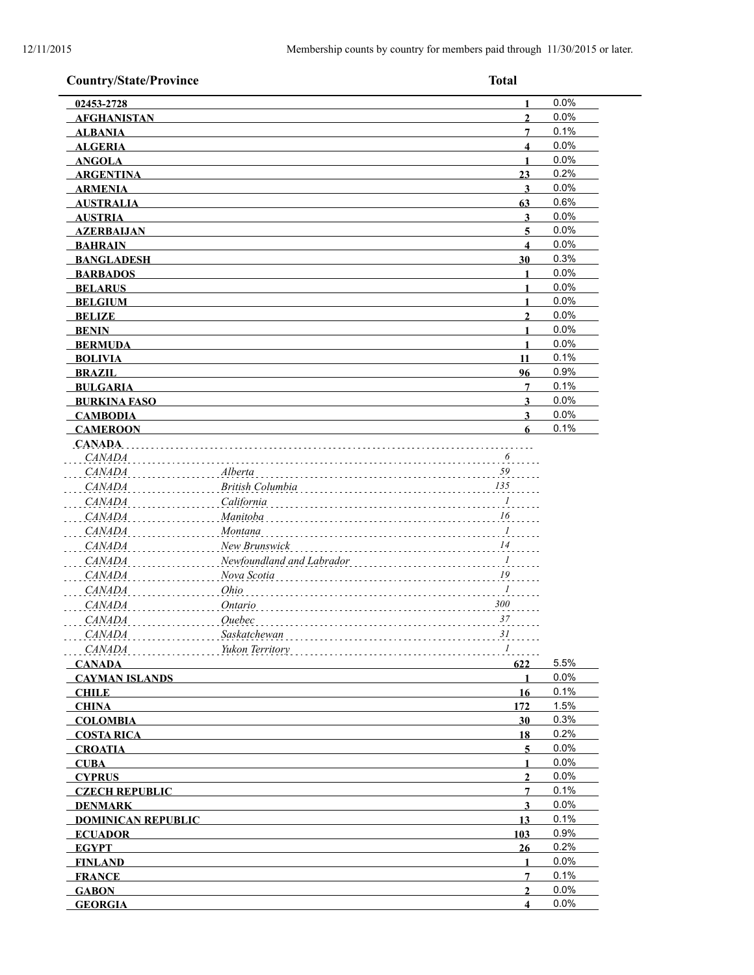| <b>Country/State/Province</b> |                           | <b>Total</b>            |      |
|-------------------------------|---------------------------|-------------------------|------|
| 02453-2728                    |                           | 1                       | 0.0% |
| <b>AFGHANISTAN</b>            |                           | $\overline{2}$          | 0.0% |
| <b>ALBANIA</b>                |                           | $\overline{7}$          | 0.1% |
| <b>ALGERIA</b>                |                           | 4                       | 0.0% |
| <b>ANGOLA</b>                 |                           | $\mathbf{1}$            | 0.0% |
| <b>ARGENTINA</b>              |                           | 23                      | 0.2% |
| <b>ARMENIA</b>                |                           | 3                       | 0.0% |
| <b>AUSTRALIA</b>              |                           | 63                      | 0.6% |
| <b>AUSTRIA</b>                |                           | 3                       | 0.0% |
| <b>AZERBAIJAN</b>             |                           | 5                       | 0.0% |
| <b>BAHRAIN</b>                |                           | $\overline{\mathbf{4}}$ | 0.0% |
| <b>BANGLADESH</b>             |                           | 30                      | 0.3% |
| <b>BARBADOS</b>               |                           | 1                       | 0.0% |
| <b>BELARUS</b>                |                           | $\mathbf{1}$            | 0.0% |
| <b>BELGIUM</b>                |                           | $\mathbf{1}$            | 0.0% |
| <b>BELIZE</b>                 |                           | $\overline{2}$          | 0.0% |
| <b>BENIN</b>                  |                           | $\mathbf{1}$            | 0.0% |
| <b>BERMUDA</b>                |                           | 1                       | 0.0% |
| <b>BOLIVIA</b>                |                           | 11                      | 0.1% |
| <b>BRAZIL</b>                 |                           | 96                      | 0.9% |
| <b>BULGARIA</b>               |                           | 7                       | 0.1% |
| <b>BURKINA FASO</b>           |                           | $\overline{\mathbf{3}}$ | 0.0% |
| <b>CAMBODIA</b>               |                           | $\overline{\mathbf{3}}$ | 0.0% |
| <b>CAMEROON</b>               |                           | 6                       | 0.1% |
| <b>CANADA</b>                 |                           |                         |      |
| CANADA                        |                           | 6                       |      |
| <b>CANADA</b>                 | Alberta                   | 59                      |      |
| <b>CANADA</b>                 | British Columbia          | 135                     |      |
| <b>CANADA</b>                 | California                | $\overline{I}$          |      |
| <b>CANADA</b>                 | Manitoba                  | 16                      |      |
| <b>CANADA</b>                 | Montana                   | $\overline{I}$          |      |
| <b>CANADA</b>                 | New Brunswick             | 14                      |      |
| <b>CANADA</b>                 | Newfoundland and Labrador | $\ldots$ <sup>1</sup>   |      |
| <b>CANADA</b>                 | Nova Scotia               | ${\it 19}$              |      |
| <b>CANADA</b>                 | Ohio                      | $\boldsymbol{l}$        |      |
|                               |                           | $300\,$                 |      |
| <b>CANADA</b>                 | Ontario                   |                         |      |
| <b>CANADA</b>                 | Ouebec                    | 37                      |      |
| CANADA                        | Saskatchewan              | 31                      |      |
| CANADA                        | Yukon Territory           | $I$                     |      |
| <b>CANADA</b>                 |                           | 622                     | 5.5% |
| <b>CAYMAN ISLANDS</b>         |                           | $\mathbf{1}$            | 0.0% |
| <b>CHILE</b>                  |                           | 16                      | 0.1% |
| <b>CHINA</b>                  |                           | 172                     | 1.5% |
| <b>COLOMBIA</b>               |                           | 30                      | 0.3% |
| <b>COSTA RICA</b>             |                           | <u>18</u>               | 0.2% |
| <b>CROATIA</b>                |                           | $\overline{5}$          | 0.0% |
| <b>CUBA</b>                   |                           | 1                       | 0.0% |
| <b>CYPRUS</b>                 |                           | $\overline{2}$          | 0.0% |
| <b>CZECH REPUBLIC</b>         |                           | $\overline{7}$          | 0.1% |
| <b>DENMARK</b>                |                           | $\overline{\mathbf{3}}$ | 0.0% |
| <b>DOMINICAN REPUBLIC</b>     |                           | 13                      | 0.1% |
| <b>ECUADOR</b>                |                           | 103                     | 0.9% |
| <b>EGYPT</b>                  |                           | 26                      | 0.2% |
| <b>FINLAND</b>                |                           | 1                       | 0.0% |
| <b>FRANCE</b>                 |                           | 7                       | 0.1% |
| <b>GABON</b>                  |                           | $\overline{2}$          | 0.0% |
| <b>GEORGIA</b>                |                           | $\overline{\mathbf{4}}$ | 0.0% |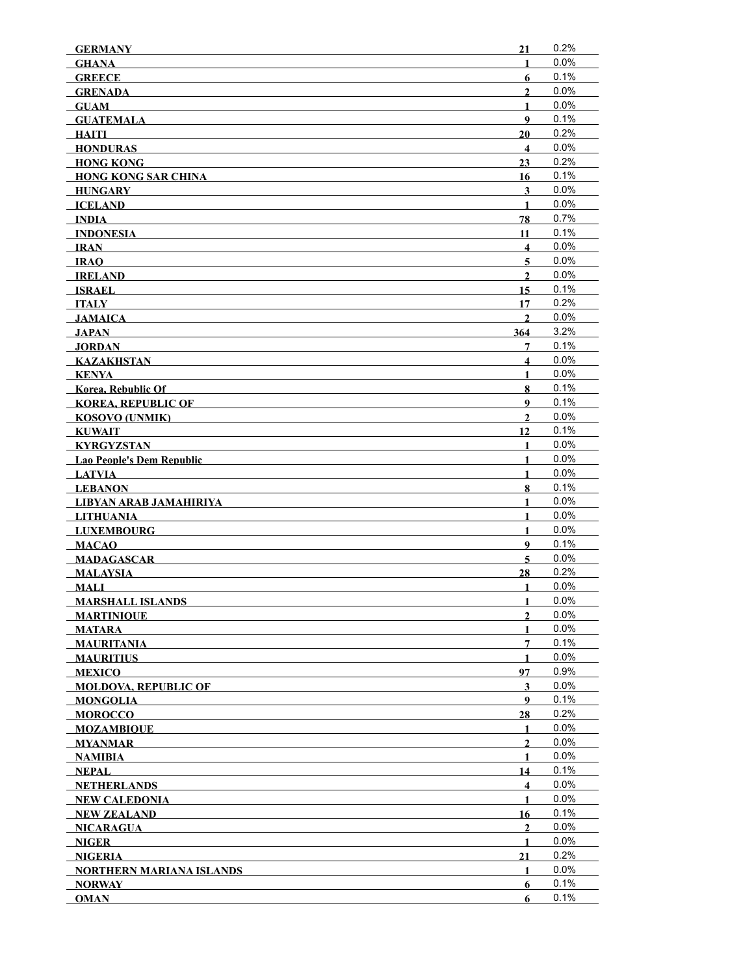| <b>GERMANY</b>                  | 21                      | 0.2%         |
|---------------------------------|-------------------------|--------------|
| <b>GHANA</b>                    | $\mathbf{1}$            | 0.0%         |
| <b>GREECE</b>                   | 6                       | 0.1%         |
| <b>GRENADA</b>                  | $\overline{2}$          | 0.0%         |
| <b>GUAM</b>                     | 1                       | 0.0%         |
| <b>GUATEMALA</b>                | 9                       | 0.1%         |
| HAITI                           | 20                      | 0.2%         |
| <b>HONDURAS</b>                 | $\overline{\mathbf{4}}$ | 0.0%         |
| <b>HONG KONG</b>                | 23                      | 0.2%         |
| <b>HONG KONG SAR CHINA</b>      | 16                      | 0.1%         |
| <b>HUNGARY</b>                  | 3                       | 0.0%         |
| <b>ICELAND</b>                  | $\mathbf{1}$            | 0.0%         |
| INDIA                           | 78                      | 0.7%         |
| <b>INDONESIA</b>                | 11                      | 0.1%         |
| <b>IRAN</b>                     | $\overline{\mathbf{4}}$ | 0.0%         |
| <b>IRAO</b>                     | $5\overline{)}$         | 0.0%         |
| <b>IRELAND</b>                  | $\overline{2}$          | 0.0%         |
| <b>ISRAEL</b>                   | 15                      | 0.1%         |
| <b>ITALY</b>                    | 17                      | 0.2%         |
| <b>JAMAICA</b>                  | $\mathbf{2}$            | 0.0%         |
| <b>JAPAN</b>                    | 364                     | 3.2%         |
| <b>JORDAN</b>                   | 7                       | 0.1%         |
| <b>KAZAKHSTAN</b>               | $\overline{\mathbf{4}}$ | 0.0%         |
| <b>KENYA</b>                    | $\mathbf{1}$            | 0.0%         |
| Korea, Rebublic Of              | 8                       | 0.1%         |
| <b>KOREA, REPUBLIC OF</b>       | 9                       | 0.1%         |
| KOSOVO (UNMIK)                  | $\mathbf{2}$            | 0.0%         |
| <b>KUWAIT</b>                   | 12                      | 0.1%         |
| KYRGYZSTAN                      | 1                       | 0.0%         |
| Lao People's Dem Republic       | 1                       | $0.0\%$      |
| <b>LATVIA</b>                   | 1                       | 0.0%         |
| <b>LEBANON</b>                  | 8                       | 0.1%         |
| <b>LIBYAN ARAB JAMAHIRIYA</b>   | 1                       | 0.0%         |
| <b>LITHUANIA</b>                | $\mathbf{1}$            | 0.0%         |
| <b>LUXEMBOURG</b>               | $\mathbf{1}$            | 0.0%         |
| <b>MACAO</b>                    | 9                       | 0.1%         |
| <b>MADAGASCAR</b>               | 5                       | 0.0%         |
| <b>MALAYSIA</b>                 | 28                      | 0.2%         |
| <b>MALI</b>                     | $\mathbf{1}$            | $0.0\%$      |
| <b>MARSHALL ISLANDS</b>         | 1                       | 0.0%         |
| <b>MARTINIQUE</b>               | $\mathbf{2}$            | 0.0%         |
| <b>MATARA</b>                   | 1                       | 0.0%         |
| MAURITANIA                      | 7                       | 0.1%         |
| <b>MAURITIUS</b>                | 1                       | 0.0%         |
| <b>MEXICO</b>                   | 97                      | 0.9%         |
| <b>MOLDOVA, REPUBLIC OF</b>     | 3                       | 0.0%         |
| <b>MONGOLIA</b>                 | 9                       | 0.1%         |
| <b>MOROCCO</b>                  | 28                      | 0.2%         |
| <b>MOZAMBIQUE</b>               | 1                       | 0.0%         |
| <b>MYANMAR</b>                  | $\overline{2}$          | 0.0%         |
| NAMIBIA                         | $\mathbf{1}$            | 0.0%         |
| NEPAL                           | 14                      | 0.1%<br>0.0% |
| <b>NETHERLANDS</b>              | $\overline{\mathbf{4}}$ |              |
| <b>NEW CALEDONIA</b>            | 1                       | $0.0\%$      |
| <b>NEW ZEALAND</b>              | 16                      | 0.1%         |
| NICARAGUA                       | $\boldsymbol{2}$        | 0.0%         |
| <b>NIGER</b>                    | $\mathbf{1}$            | 0.0%         |
| <b>NIGERIA</b>                  | 21                      | 0.2%         |
| <b>NORTHERN MARIANA ISLANDS</b> | $\mathbf{1}$            | 0.0%         |
| <b>NORWAY</b>                   | 6                       | 0.1%         |
| <b>OMAN</b>                     | 6                       | 0.1%         |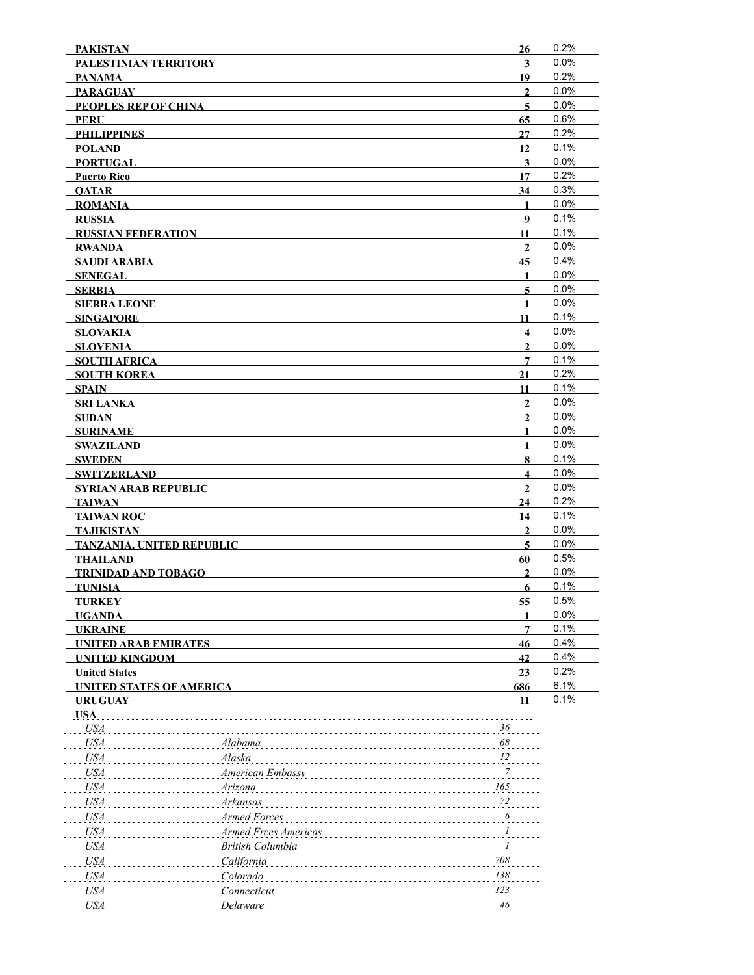| <b>PAKISTAN</b>                                   |                      | 26                           | 0.2%         |
|---------------------------------------------------|----------------------|------------------------------|--------------|
| PALESTINIAN TERRITORY                             |                      | 3                            | 0.0%         |
| <b>PANAMA</b>                                     |                      | 19                           | 0.2%         |
| <b>PARAGUAY</b>                                   |                      | $\overline{2}$               | 0.0%         |
| PEOPLES REP OF CHINA                              |                      | 5                            | 0.0%         |
| PERU                                              |                      | 65                           | 0.6%         |
| <b>PHILIPPINES</b>                                |                      | 27                           | 0.2%         |
| <b>POLAND</b>                                     |                      | 12                           | 0.1%         |
| <b>PORTUGAL</b>                                   |                      | 3                            | 0.0%         |
| <b>Puerto Rico</b>                                |                      | 17                           | 0.2%         |
| <b>OATAR</b>                                      |                      | 34                           | 0.3%         |
| <b>ROMANIA</b>                                    |                      | $\mathbf{1}$                 | 0.0%         |
| <b>RUSSIA</b>                                     |                      | 9                            | 0.1%         |
| <b>RUSSIAN FEDERATION</b>                         |                      | 11                           | 0.1%         |
| <b>RWANDA</b>                                     |                      | $\overline{2}$               | 0.0%         |
| <b>SAUDI ARABIA</b>                               |                      | 45                           | 0.4%         |
| <b>SENEGAL</b>                                    |                      | 1                            | 0.0%         |
| <b>SERBIA</b>                                     |                      | 5                            | 0.0%         |
| <b>SIERRA LEONE</b>                               |                      | 1                            | 0.0%         |
| <b>SINGAPORE</b>                                  |                      | 11                           | 0.1%         |
| <b>SLOVAKIA</b>                                   |                      | $\overline{\mathbf{4}}$      | 0.0%         |
| <b>SLOVENIA</b>                                   |                      | $\overline{2}$               | 0.0%         |
| <b>SOUTH AFRICA</b>                               |                      | $\overline{7}$               | 0.1%         |
| <b>SOUTH KOREA</b>                                |                      | 21                           | 0.2%         |
| SPAIN                                             |                      | 11                           | 0.1%         |
| <b>SRI LANKA</b>                                  |                      | $\overline{2}$               | 0.0%<br>0.0% |
| <b>SUDAN</b>                                      |                      | $\overline{2}$               | 0.0%         |
| <b>SURINAME</b>                                   |                      | 1                            | 0.0%         |
| <b>SWAZILAND</b>                                  |                      | $\mathbf{1}$                 | 0.1%         |
| <b>SWEDEN</b>                                     |                      | 8<br>$\overline{\mathbf{4}}$ | 0.0%         |
| <b>SWITZERLAND</b><br><b>SYRIAN ARAB REPUBLIC</b> |                      | $\mathbf{2}$                 | 0.0%         |
| <b>TAIWAN</b>                                     |                      | 24                           | 0.2%         |
| <b>TAIWAN ROC</b>                                 |                      | 14                           | 0.1%         |
| <b>TAJIKISTAN</b>                                 |                      | $\mathbf{2}$                 | 0.0%         |
| <b>TANZANIA, UNITED REPUBLIC</b>                  |                      | 5                            | 0.0%         |
| <b>THAILAND</b>                                   |                      | 60                           | 0.5%         |
| <b>TRINIDAD AND TOBAGO</b>                        |                      | $\overline{2}$               | 0.0%         |
| <b>TUNISIA</b>                                    |                      | 6                            | 0.1%         |
| <b>TURKEY</b>                                     |                      | 55                           | 0.5%         |
| <b>UGANDA</b>                                     |                      |                              | 0.0%         |
| <b>UKRAINE</b>                                    |                      | 7                            | 0.1%         |
| <b>UNITED ARAB EMIRATES</b>                       |                      | 46                           | 0.4%         |
| <b>UNITED KINGDOM</b>                             |                      | 42                           | 0.4%         |
| <b>United States</b>                              |                      | 23                           | 0.2%         |
| <b>UNITED STATES OF AMERICA</b>                   |                      | 686                          | 6.1%         |
| <b>URUGUAY</b>                                    |                      | 11                           | 0.1%         |
| USA.                                              |                      |                              |              |
| <b>USA</b>                                        |                      | 36                           |              |
| <b>USA</b>                                        | Alabama              | 68                           |              |
| <b>USA</b>                                        | Alaska               | 12                           |              |
| USA                                               | American Embassy     | 7                            |              |
| USA                                               | Arizona              | 165                          |              |
| <b>USA</b>                                        | Arkansas             | 72                           |              |
| <b>USA</b>                                        | Armed Forces         | 6                            |              |
|                                                   |                      | 1                            |              |
| <b>USA</b>                                        | Armed Frces Americas |                              |              |
| <b>USA</b>                                        | British Columbia     | 1                            |              |
| <b>USA</b>                                        | California           | 708                          |              |
| <b>USA</b>                                        | Colorado             | 138                          |              |
| <b>USA</b>                                        | Connecticut          | 123                          |              |
| <b>USA</b>                                        | Delaware             | 46                           |              |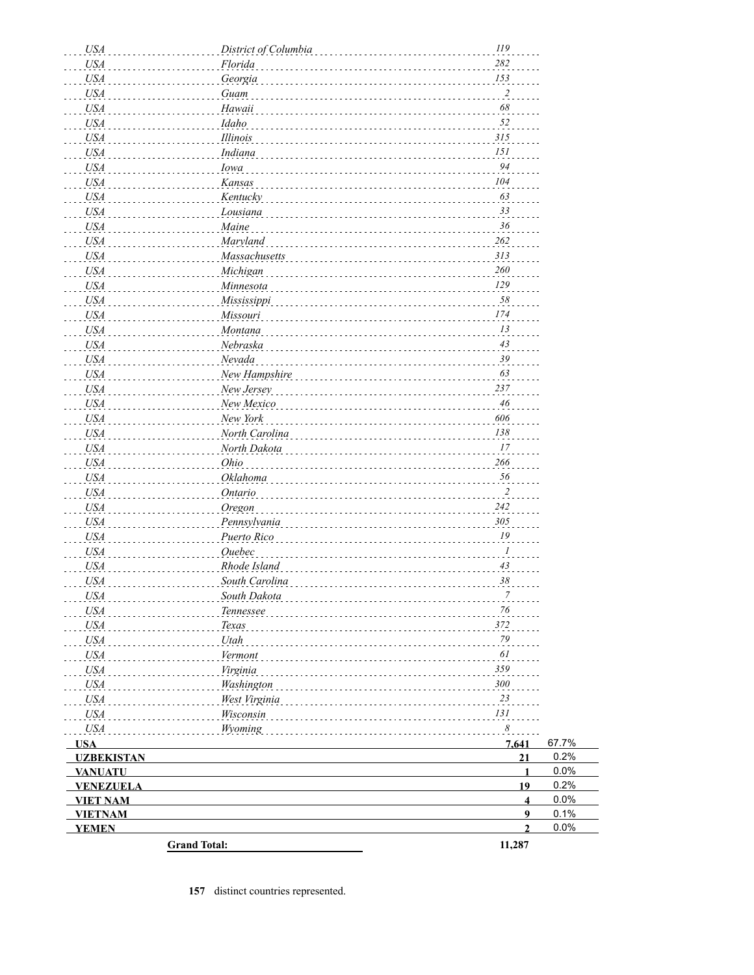| <b>USA</b>               | District of Columbia   | 119                     |       |
|--------------------------|------------------------|-------------------------|-------|
| <b>USA</b>               | Florida                | 282                     |       |
| <b>USA</b>               | Georgia                | 153                     |       |
| <b>USA</b>               | Guam                   | $\overline{2}$          |       |
| <b>USA</b>               | Hawaii                 | 68                      |       |
| <b>USA</b>               | Idaho                  | 52                      |       |
| <b>USA</b>               | Illinois               | 315                     |       |
| <b>USA</b>               | Indiana                | 151                     |       |
| <b>USA</b>               | Iowa                   | 94                      |       |
| <b>USA</b>               | Kansas                 | 104                     |       |
| <b>USA</b>               | Kentucky               | 63                      |       |
| <b>USA</b>               | Lousiana               | 33                      |       |
| <b>USA</b>               | Maine                  | 36                      |       |
| <b>USA</b>               | <b>Maryland</b>        | 262                     |       |
| <b>USA</b>               | Massachusetts          | 313                     |       |
| <b>USA</b>               | Michigan               | 260                     |       |
| <b>USA</b>               | Minnesota              | 129                     |       |
| <b>USA</b>               | Mississippi            | 58<br>174               |       |
| <b>USA</b>               | Missouri               | 13                      |       |
| <b>USA</b>               | Montana                | 43                      |       |
| <b>USA</b>               | Nebraska<br>Nevada     | 39                      |       |
| <b>USA</b>               | New Hampshire          | 63                      |       |
| <b>USA</b>               |                        | 237                     |       |
| <b>USA</b><br><b>USA</b> | New Jersey             | 46                      |       |
| <b>USA</b>               | New Mexico<br>New York | 606                     |       |
| <b>USA</b>               | North Carolina         | 138                     |       |
| <b>USA</b>               | North Dakota           | 17                      |       |
| <b>USA</b>               | Ohio                   | 266                     |       |
| <b>USA</b>               | Oklahoma               | 56                      |       |
| <b>USA</b>               | Ontario                | $\overline{2}$          |       |
| <b>USA</b>               | Oregon                 | 242                     |       |
| <b>USA</b>               | Pennsylvania           | 305                     |       |
| <b>USA</b>               | Puerto Rico            | 19                      |       |
| <b>USA</b>               | Ouebec                 | $\boldsymbol{l}$        |       |
| <b>USA</b>               | Rhode Island           | 43                      |       |
| <b>USA</b>               | South Carolina         | 38                      |       |
| USA                      | South Dakota           |                         |       |
| <i>USA</i>               | Tennessee              | 76                      |       |
| <b>USA</b>               | Texas                  | 372                     |       |
| <b>USA</b>               | Utah                   | $79\,$                  |       |
| USA                      | Vermont                | 61                      |       |
| USA                      | Virginia               | 359                     |       |
| USA                      | Washington             | 300                     |       |
| <i>USA</i>               | West Virginia          | 23                      |       |
| <i>USA</i>               | Wisconsin              | 131                     |       |
| USA                      | Wyoming                | 8                       |       |
| <b>USA</b>               |                        | 7,641                   | 67.7% |
| <b>UZBEKISTAN</b>        |                        | 21                      | 0.2%  |
| <b>VANUATU</b>           |                        | $\mathbf{1}$            | 0.0%  |
| <b>VENEZUELA</b>         |                        | 19                      | 0.2%  |
| <b>VIET NAM</b>          |                        | $\overline{\mathbf{4}}$ | 0.0%  |
| <b>VIETNAM</b>           |                        | $\boldsymbol{9}$        | 0.1%  |
| <b>YEMEN</b>             |                        | $\overline{2}$          | 0.0%  |
|                          | <b>Grand Total:</b>    | 11,287                  |       |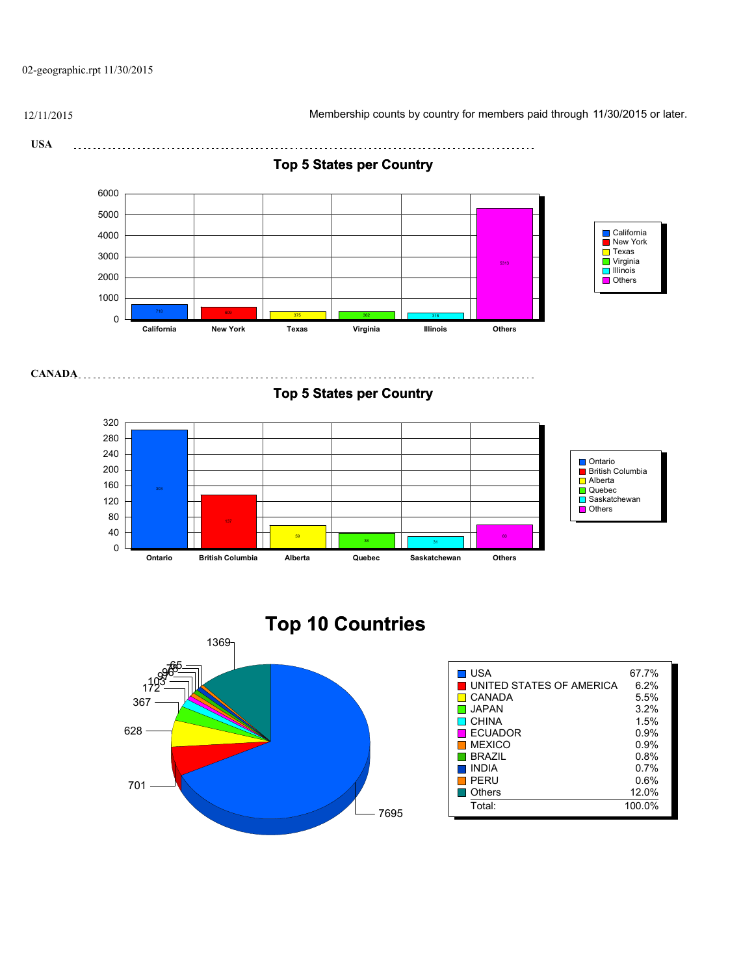02-geographic.rpt 11/30/2015

12/11/2015 Membership counts by country for members paid through 11/30/2015 or later.

**USA** 

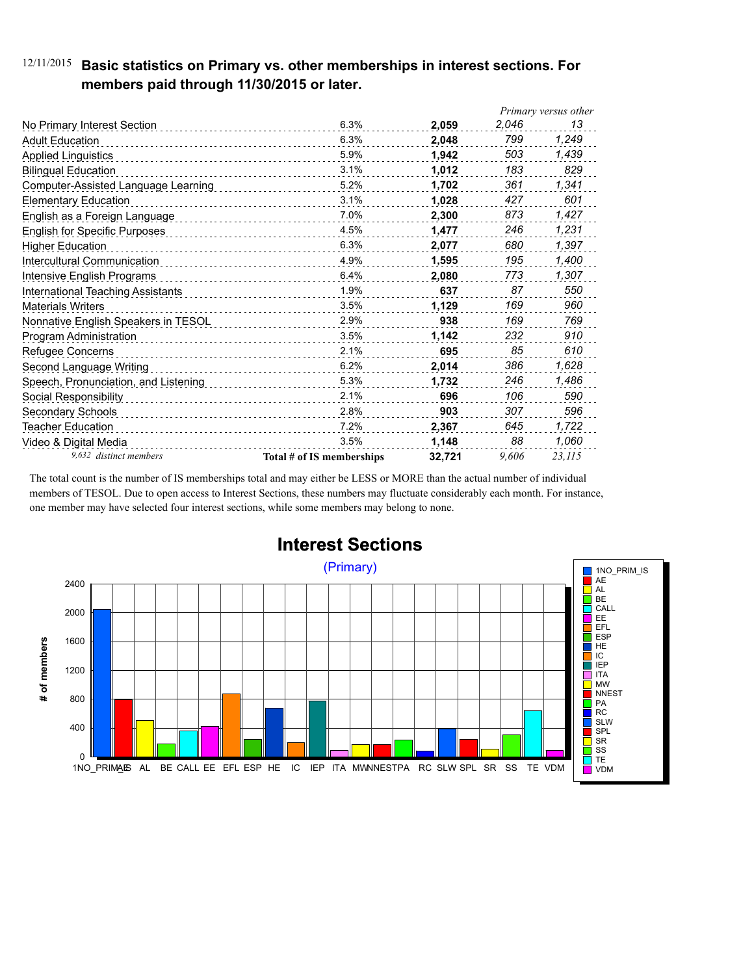### 12/11/2015 **Basic statistics on Primary vs. other memberships in interest sections. For members paid through 11/30/2015 or later.**

|                                      |                           |        | Primary versus other |        |
|--------------------------------------|---------------------------|--------|----------------------|--------|
| No Primary Interest Section          | 6.3%                      | 2,059  | 2,046                | 13     |
| <b>Adult Education</b>               | 6.3%                      | 2,048  | 799                  | 1,249  |
| <b>Applied Linguistics</b>           | 5.9%                      | 1,942  | 503                  | 1,439  |
| <b>Bilingual Education</b>           | 3.1%                      | 1,012  | 183                  | 829    |
| Computer-Assisted Language Learning  | 5.2%                      | 1,702  | 361                  | 1,341  |
| <b>Elementary Education</b>          | 3.1%                      | 1,028  | 427                  | 601    |
| English as a Foreign Language        | 7.0%                      | 2,300  | 873                  | 1,427  |
| <b>English for Specific Purposes</b> | 4.5%                      | 1,477  | 246                  | 1,231  |
| <b>Higher Education</b>              | 6.3%                      | 2,077  | 680                  | 1,397  |
| Intercultural Communication          | 4.9%                      | 1,595  | 195                  | 1,400  |
| Intensive English Programs           | 6.4%                      | 2,080  | 773                  | 1,307  |
| International Teaching Assistants    | 1.9%                      | 637    | 87                   | 550    |
| <b>Materials Writers</b>             | 3.5%                      | 1,129  | 169                  | 960    |
| Nonnative English Speakers in TESOL  | 2.9%                      | 938    | 169                  | 769    |
| Program Administration               | 3.5%                      | 1,142  | 232                  | 910    |
| Refugee Concerns                     | 2.1%                      | 695    | 85                   | 610    |
| Second Language Writing              | 6.2%                      | 2,014  | 386                  | 1,628  |
| Speech, Pronunciation, and Listening | 5.3%                      | 1,732  | 246                  | 1,486  |
| Social Responsibility                | 2.1%                      | 696    | 106                  | 590    |
| Secondary Schools                    | 2.8%                      | 903    | 307                  | 596    |
| <b>Teacher Education</b>             | 7.2%                      | 2,367  | 645                  | 1,722  |
| Video & Digital Media                | 3.5%                      | 1,148  | 88                   | 1,060  |
| 9,632 distinct members               | Total # of IS memberships | 32.721 | 9.606                | 23,115 |

The total count is the number of IS memberships total and may either be LESS or MORE than the actual number of individual members of TESOL. Due to open access to Interest Sections, these numbers may fluctuate considerably each month. For instance, one member may have selected four interest sections, while some members may belong to none.



## **Interest Sections**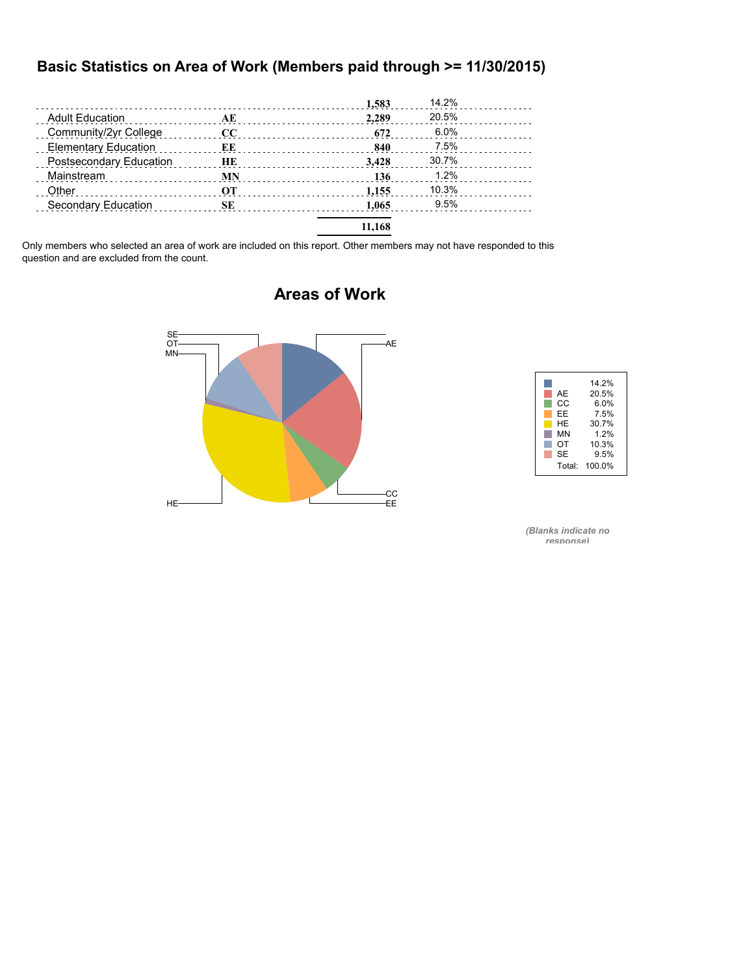#### **Basic Statistics on Area of Work (Members paid through >= 11/30/2015)**

|                             |          | 1,583  | 14.2% |  |
|-----------------------------|----------|--------|-------|--|
| <b>Adult Education</b>      | АE       | 2.289  | 20.5% |  |
| Community/2yr College       | $\bf CC$ | 672    | 6.0%  |  |
| <b>Elementary Education</b> | ЕE       | 840    | 7.5%  |  |
| Postsecondary Education     | HЕ       | 3.428  | 30.7% |  |
| Mainstream                  | MN       | 136    | 1.2%  |  |
| Other                       | OТ       | 1.155  | 10.3% |  |
| Secondary Education         | SE       | 1.065  | 9.5%  |  |
|                             |          | 11.168 |       |  |

Only members who selected an area of work are included on this report. Other members may not have responded to this question and are excluded from the count.



### **Areas of Work**



*(Blanks indicate no response)*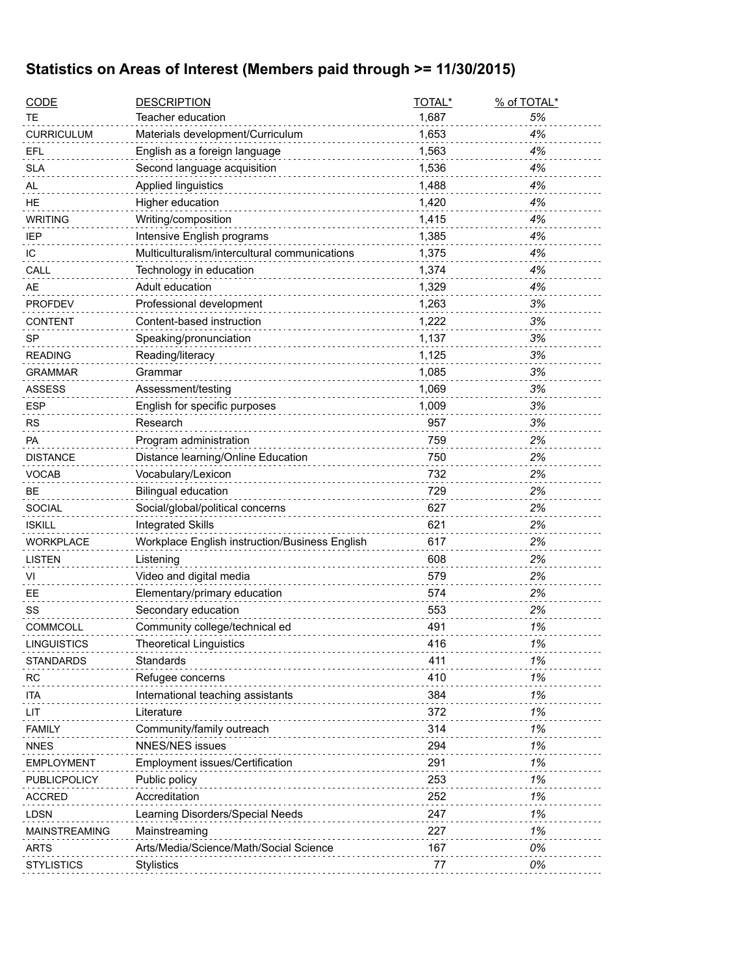## **Statistics on Areas of Interest (Members paid through >= 11/30/2015)**

| <b>CODE</b>          | <b>DESCRIPTION</b>                             | TOTAL* | % of TOTAL* |
|----------------------|------------------------------------------------|--------|-------------|
| ТE                   | Teacher education                              | 1,687  | 5%          |
| <b>CURRICULUM</b>    | Materials development/Curriculum               | 1,653  | 4%          |
| <b>EFL</b>           | English as a foreign language                  | 1,563  | 4%          |
| <b>SLA</b>           | Second language acquisition                    | 1,536  | 4%          |
| AL                   | Applied linguistics                            | 1,488  | 4%          |
| <b>HE</b>            | Higher education                               | 1,420  | 4%          |
| <b>WRITING</b>       | Writing/composition                            | 1,415  | 4%          |
| <b>IEP</b>           | Intensive English programs                     | 1,385  | 4%          |
| IC                   | Multiculturalism/intercultural communications  | 1,375  | 4%          |
| CALL                 | Technology in education                        | 1,374  | 4%          |
| AE                   | Adult education                                | 1,329  | 4%          |
| <b>PROFDEV</b>       | Professional development                       | 1,263  | 3%          |
| <b>CONTENT</b>       | Content-based instruction                      | 1,222  | 3%          |
| <b>SP</b>            | Speaking/pronunciation                         | 1,137  | 3%          |
| <b>READING</b>       | Reading/literacy                               | 1,125  | 3%          |
| <b>GRAMMAR</b>       | Grammar                                        | 1,085  | 3%          |
| <b>ASSESS</b>        | Assessment/testing                             | 1,069  | 3%          |
| <b>ESP</b>           | English for specific purposes                  | 1,009  | 3%          |
| <b>RS</b>            | Research                                       | 957    | 3%          |
| <b>PA</b>            | Program administration                         | 759    | 2%          |
| <b>DISTANCE</b>      | Distance learning/Online Education             | 750    | 2%          |
| <b>VOCAB</b>         | Vocabulary/Lexicon                             | 732    | 2%          |
| <b>BE</b>            | <b>Bilingual education</b>                     | 729    | 2%          |
| <b>SOCIAL</b>        | Social/global/political concerns               | 627    | 2%          |
| <b>ISKILL</b>        | <b>Integrated Skills</b>                       | 621    | 2%          |
| <b>WORKPLACE</b>     | Workplace English instruction/Business English | 617    | 2%          |
| <b>LISTEN</b>        | Listening                                      | 608    | 2%          |
| VI                   | Video and digital media                        | 579    | 2%          |
| EE                   | Elementary/primary education                   | 574    | 2%          |
| SS                   | Secondary education                            | 553    | 2%          |
| <b>COMMCOLL</b>      | Community college/technical ed                 | 491    | 1%          |
| LINGUISTICS          | <b>Theoretical Linguistics</b>                 | 416    | 1%          |
| <b>STANDARDS</b>     | Standards                                      | 411    | 1%          |
| <b>RC</b>            | Refugee concerns                               | 410    | 1%          |
| ita                  | International teaching assistants              | 384    | 1%          |
| LIT                  | Literature                                     | 372    | 1%          |
| <b>FAMILY</b>        | Community/family outreach                      | 314    | 1%          |
| <b>NNES</b>          | <b>NNES/NES issues</b>                         | 294    | 1%          |
| <b>EMPLOYMENT</b>    | Employment issues/Certification                | 291    | 1%          |
| PUBLICPOLICY         | Public policy                                  | 253    | 1%          |
| <b>ACCRED</b>        | Accreditation                                  | 252    | 1%          |
| <b>LDSN</b>          | Learning Disorders/Special Needs               | 247    | 1%          |
| <b>MAINSTREAMING</b> | Mainstreaming                                  | 227    | 1%          |
| <b>ARTS</b>          | Arts/Media/Science/Math/Social Science         | 167    | 0%          |
| <b>STYLISTICS</b>    | Stylistics                                     | 77     | 0%          |
|                      |                                                |        |             |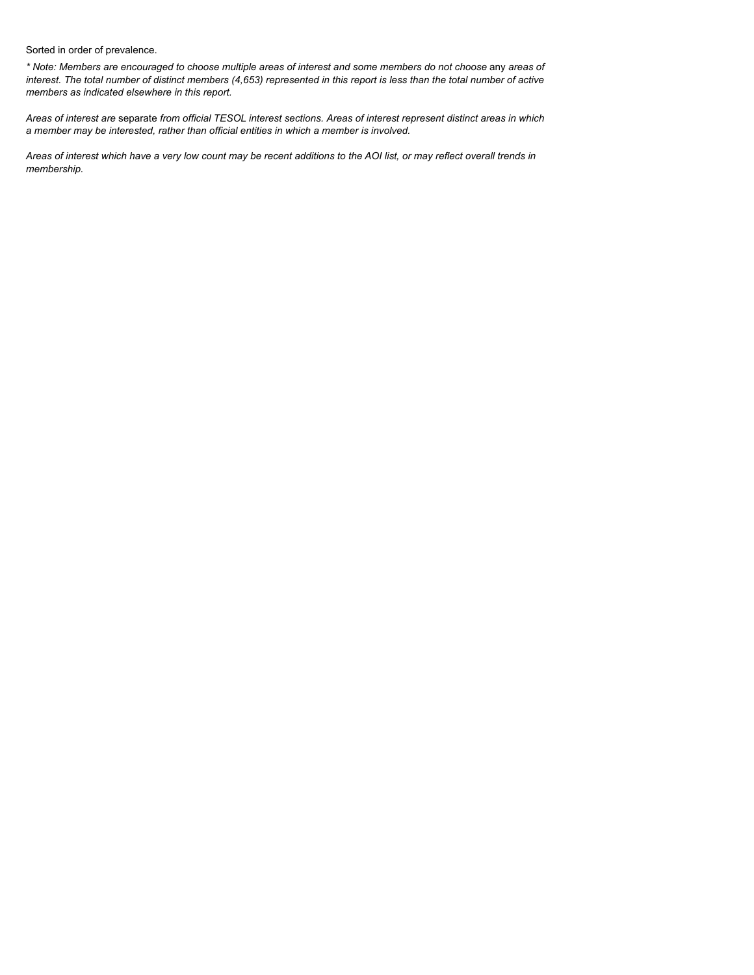Sorted in order of prevalence.

*\* Note: Members are encouraged to choose multiple areas of interest and some members do not choose* any *areas of interest. The total number of distinct members (4,653) represented in this report is less than the total number of active members as indicated elsewhere in this report.*

*Areas of interest are* separate *from official TESOL interest sections. Areas of interest represent distinct areas in which a member may be interested, rather than official entities in which a member is involved.*

*Areas of interest which have a very low count may be recent additions to the AOI list, or may reflect overall trends in membership.*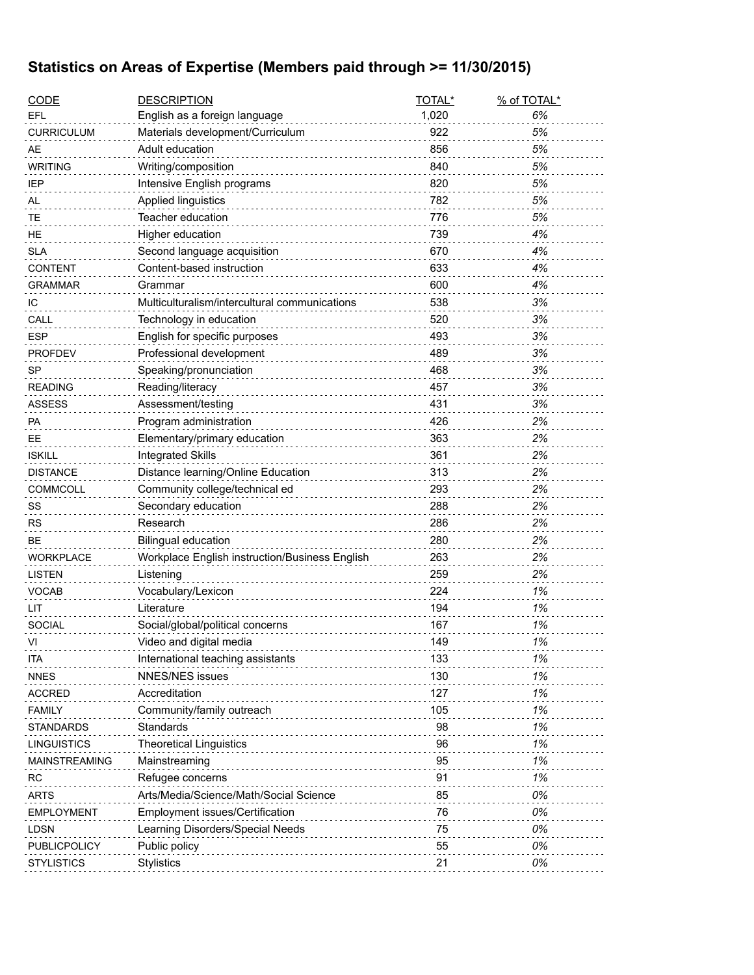## **Statistics on Areas of Expertise (Members paid through >= 11/30/2015)**

| <b>CODE</b>          | <b>DESCRIPTION</b>                             | TOTAL* | % of TOTAL* |
|----------------------|------------------------------------------------|--------|-------------|
| EFL                  | English as a foreign language                  | 1,020  | 6%          |
| <b>CURRICULUM</b>    | Materials development/Curriculum               | 922    | 5%          |
| AE                   | Adult education                                | 856    | 5%          |
| <b>WRITING</b>       | Writing/composition                            | 840    | 5%          |
| IEP                  | Intensive English programs                     | 820    | 5%          |
| AL                   | Applied linguistics                            | 782    | 5%          |
| TE                   | Teacher education                              | 776    | 5%          |
| HE                   | Higher education                               | 739    | 4%          |
| <b>SLA</b>           | Second language acquisition                    | 670    | 4%          |
| <b>CONTENT</b>       | Content-based instruction                      | 633    | 4%          |
| <b>GRAMMAR</b>       | Grammar                                        | 600    | 4%          |
| IС                   | Multiculturalism/intercultural communications  | 538    | 3%          |
| CALL                 | Technology in education                        | 520    | 3%          |
| <b>ESP</b>           | English for specific purposes                  | 493    | 3%          |
| <b>PROFDEV</b>       | Professional development                       | 489    | 3%          |
| <b>SP</b>            | Speaking/pronunciation                         | 468    | 3%          |
| <b>READING</b>       | Reading/literacy                               | 457    | 3%          |
| <b>ASSESS</b>        | Assessment/testing                             | 431    | 3%          |
| PA                   | Program administration                         | 426    | 2%          |
| EE                   | Elementary/primary education                   | 363    | 2%          |
| <b>ISKILL</b>        | <b>Integrated Skills</b>                       | 361    | 2%          |
| <b>DISTANCE</b>      | Distance learning/Online Education             | 313    | 2%          |
| COMMCOLL             | Community college/technical ed                 | 293    | 2%          |
| SS                   | Secondary education                            | 288    | 2%          |
| RS                   | Research                                       | 286    | 2%          |
| <b>BE</b>            | <b>Bilingual education</b>                     | 280    | 2%          |
| WORKPLACE            | Workplace English instruction/Business English | 263    | 2%          |
| <b>LISTEN</b>        | Listening                                      | 259    | 2%          |
| <b>VOCAB</b>         | Vocabulary/Lexicon                             | 224    | 1%          |
| LIT                  | Literature                                     | 194    | 1%          |
| SOCIAL               | Social/global/political concerns               | 167    | 1%          |
| VI                   | Video and digital media                        | 149    | 1%          |
| ITA                  | International teaching assistants              | 133    | 1%          |
| <b>NNES</b>          | <b>NNES/NES issues</b>                         | 130    | 1%          |
| <b>ACCRED</b>        | Accreditation                                  | 127    | 1%          |
| <b>FAMILY</b>        | Community/family outreach                      | 105    | 1%          |
| <b>STANDARDS</b>     | Standards                                      | 98     | 1%          |
| <b>LINGUISTICS</b>   | Theoretical Linguistics                        | 96     | 1%          |
| <b>MAINSTREAMING</b> | Mainstreaming                                  | 95     | 1%          |
| RC                   | Refugee concerns                               | 91     | 1%          |
| <b>ARTS</b>          | Arts/Media/Science/Math/Social Science         | 85     | 0%          |
| EMPLOYMENT           | Employment issues/Certification                | 76     | 0%          |
| <b>LDSN</b>          | Learning Disorders/Special Needs               | 75     | 0%          |
| PUBLICPOLICY         | Public policy                                  | 55     | 0%          |
| <b>STYLISTICS</b>    | <b>Stylistics</b>                              | 21     | 0%          |